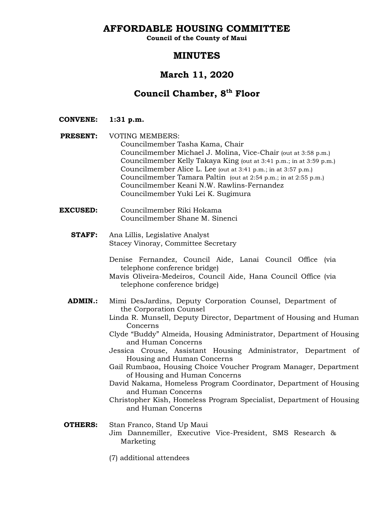**AFFORDABLE HOUSING COMMITTEE**

**Council of the County of Maui**

# **MINUTES**

# **March 11, 2020**

# **Council Chamber, 8th Floor**

**CONVENE: 1:31 p.m.**

- **PRESENT:** VOTING MEMBERS: Councilmember Tasha Kama, Chair Councilmember Michael J. Molina, Vice-Chair (out at 3:58 p.m.) Councilmember Kelly Takaya King (out at 3:41 p.m.; in at 3:59 p.m.) Councilmember Alice L. Lee (out at 3:41 p.m.; in at 3:57 p.m.) Councilmember Tamara Paltin (out at 2:54 p.m.; in at 2:55 p.m.) Councilmember Keani N.W. Rawlins-Fernandez Councilmember Yuki Lei K. Sugimura
- **EXCUSED:** Councilmember Riki Hokama Councilmember Shane M. Sinenci
	- **STAFF:** Ana Lillis, Legislative Analyst Stacey Vinoray, Committee Secretary
		- Denise Fernandez, Council Aide, Lanai Council Office (via telephone conference bridge)
		- Mavis Oliveira-Medeiros, Council Aide, Hana Council Office (via telephone conference bridge)
	- **ADMIN.:** Mimi DesJardins, Deputy Corporation Counsel, Department of the Corporation Counsel
		- Linda R. Munsell, Deputy Director, Department of Housing and Human Concerns
		- Clyde "Buddy" Almeida, Housing Administrator, Department of Housing and Human Concerns
		- Jessica Crouse, Assistant Housing Administrator, Department of Housing and Human Concerns
		- Gail Rumbaoa, Housing Choice Voucher Program Manager, Department of Housing and Human Concerns
		- David Nakama, Homeless Program Coordinator, Department of Housing and Human Concerns
		- Christopher Kish, Homeless Program Specialist, Department of Housing and Human Concerns

# **OTHERS:** Stan Franco, Stand Up Maui Jim Dannemiller, Executive Vice-President, SMS Research & Marketing

(7) additional attendees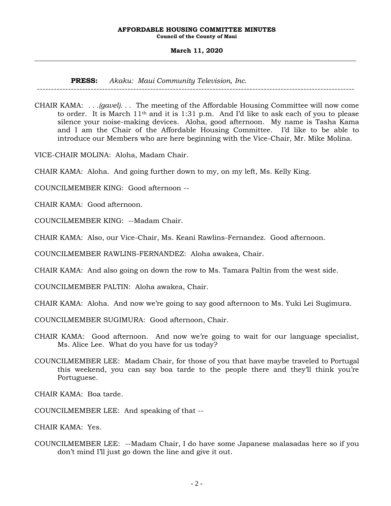**Council of the County of Maui**

### **March 11, 2020**

**PRESS:** *Akaku: Maui Community Television, Inc.*

----------------------------------------------------------------------------------------------------------------

CHAIR KAMA: *. . .(gavel). . .* The meeting of the Affordable Housing Committee will now come to order. It is March 11th and it is 1:31 p.m. And I'd like to ask each of you to please silence your noise-making devices. Aloha, good afternoon. My name is Tasha Kama and I am the Chair of the Affordable Housing Committee. I'd like to be able to introduce our Members who are here beginning with the Vice-Chair, Mr. Mike Molina.

VICE-CHAIR MOLINA: Aloha, Madam Chair.

CHAIR KAMA: Aloha. And going further down to my, on my left, Ms. Kelly King.

COUNCILMEMBER KING: Good afternoon --

CHAIR KAMA: Good afternoon.

COUNCILMEMBER KING: --Madam Chair.

CHAIR KAMA: Also, our Vice-Chair, Ms. Keani Rawlins-Fernandez. Good afternoon.

COUNCILMEMBER RAWLINS-FERNANDEZ: Aloha awakea, Chair.

CHAIR KAMA: And also going on down the row to Ms. Tamara Paltin from the west side.

COUNCILMEMBER PALTIN: Aloha awakea, Chair.

CHAIR KAMA: Aloha. And now we're going to say good afternoon to Ms. Yuki Lei Sugimura.

COUNCILMEMBER SUGIMURA: Good afternoon, Chair.

- CHAIR KAMA: Good afternoon. And now we're going to wait for our language specialist, Ms. Alice Lee. What do you have for us today?
- COUNCILMEMBER LEE: Madam Chair, for those of you that have maybe traveled to Portugal this weekend, you can say boa tarde to the people there and they'll think you're Portuguese.

CHAIR KAMA: Boa tarde.

COUNCILMEMBER LEE: And speaking of that --

CHAIR KAMA: Yes.

COUNCILMEMBER LEE: --Madam Chair, I do have some Japanese malasadas here so if you don't mind I'll just go down the line and give it out.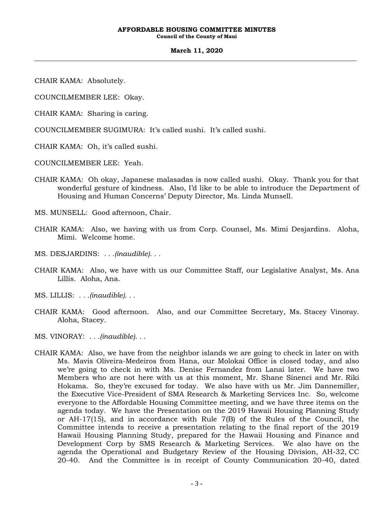**Council of the County of Maui**

#### **March 11, 2020**

CHAIR KAMA: Absolutely.

COUNCILMEMBER LEE: Okay.

CHAIR KAMA: Sharing is caring.

COUNCILMEMBER SUGIMURA: It's called sushi. It's called sushi.

CHAIR KAMA: Oh, it's called sushi.

COUNCILMEMBER LEE: Yeah.

CHAIR KAMA: Oh okay, Japanese malasadas is now called sushi. Okay. Thank you for that wonderful gesture of kindness. Also, I'd like to be able to introduce the Department of Housing and Human Concerns' Deputy Director, Ms. Linda Munsell.

MS. MUNSELL: Good afternoon, Chair.

- CHAIR KAMA: Also, we having with us from Corp. Counsel, Ms. Mimi Desjardins. Aloha, Mimi. Welcome home.
- MS. DESJARDINS: *. . .(inaudible). . .*
- CHAIR KAMA: Also, we have with us our Committee Staff, our Legislative Analyst, Ms. Ana Lillis. Aloha, Ana.
- MS. LILLIS: *. . .(inaudible). . .*
- CHAIR KAMA: Good afternoon. Also, and our Committee Secretary, Ms. Stacey Vinoray. Aloha, Stacey.
- MS. VINORAY: *. . .(inaudible). . .*
- CHAIR KAMA: Also, we have from the neighbor islands we are going to check in later on with Ms. Mavis Oliveira-Medeiros from Hana, our Molokai Office is closed today, and also we're going to check in with Ms. Denise Fernandez from Lanai later. We have two Members who are not here with us at this moment, Mr. Shane Sinenci and Mr. Riki Hokama. So, they're excused for today. We also have with us Mr. Jim Dannemiller, the Executive Vice-President of SMA Research & Marketing Services Inc. So, welcome everyone to the Affordable Housing Committee meeting, and we have three items on the agenda today. We have the Presentation on the 2019 Hawaii Housing Planning Study or AH-17(15), and in accordance with Rule 7(B) of the Rules of the Council, the Committee intends to receive a presentation relating to the final report of the 2019 Hawaii Housing Planning Study, prepared for the Hawaii Housing and Finance and Development Corp by SMS Research & Marketing Services. We also have on the agenda the Operational and Budgetary Review of the Housing Division, AH-32, CC 20-40. And the Committee is in receipt of County Communication 20-40, dated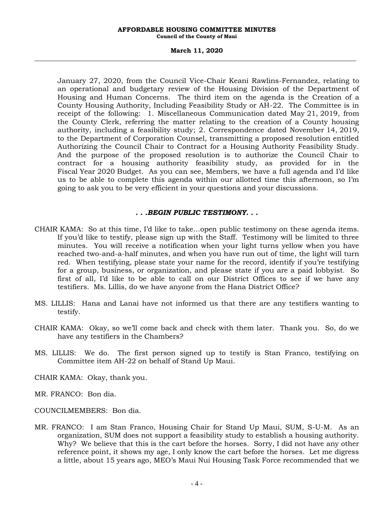**Council of the County of Maui**

#### **March 11, 2020**

January 27, 2020, from the Council Vice-Chair Keani Rawlins-Fernandez, relating to an operational and budgetary review of the Housing Division of the Department of Housing and Human Concerns. The third item on the agenda is the Creation of a County Housing Authority, Including Feasibility Study or AH-22. The Committee is in receipt of the following: 1. Miscellaneous Communication dated May 21, 2019, from the County Clerk, referring the matter relating to the creation of a County housing authority, including a feasibility study; 2. Correspondence dated November 14, 2019, to the Department of Corporation Counsel, transmitting a proposed resolution entitled Authorizing the Council Chair to Contract for a Housing Authority Feasibility Study. And the purpose of the proposed resolution is to authorize the Council Chair to contract for a housing authority feasibility study, as provided for in the Fiscal Year 2020 Budget. As you can see, Members, we have a full agenda and I'd like us to be able to complete this agenda within our allotted time this afternoon, so I'm going to ask you to be very efficient in your questions and your discussions.

## *. . .BEGIN PUBLIC TESTIMONY. . .*

- CHAIR KAMA: So at this time, I'd like to take…open public testimony on these agenda items. If you'd like to testify, please sign up with the Staff. Testimony will be limited to three minutes. You will receive a notification when your light turns yellow when you have reached two-and-a-half minutes, and when you have run out of time, the light will turn red. When testifying, please state your name for the record, identify if you're testifying for a group, business, or organization, and please state if you are a paid lobbyist. So first of all, I'd like to be able to call on our District Offices to see if we have any testifiers. Ms. Lillis, do we have anyone from the Hana District Office?
- MS. LILLIS: Hana and Lanai have not informed us that there are any testifiers wanting to testify.
- CHAIR KAMA: Okay, so we'll come back and check with them later. Thank you. So, do we have any testifiers in the Chambers?
- MS. LILLIS: We do. The first person signed up to testify is Stan Franco, testifying on Committee item AH-22 on behalf of Stand Up Maui.
- CHAIR KAMA: Okay, thank you.
- MR. FRANCO: Bon dia.
- COUNCILMEMBERS: Bon dia.
- MR. FRANCO: I am Stan Franco, Housing Chair for Stand Up Maui, SUM, S-U-M. As an organization, SUM does not support a feasibility study to establish a housing authority. Why? We believe that this is the cart before the horses. Sorry, I did not have any other reference point, it shows my age, I only know the cart before the horses. Let me digress a little, about 15 years ago, MEO's Maui Nui Housing Task Force recommended that we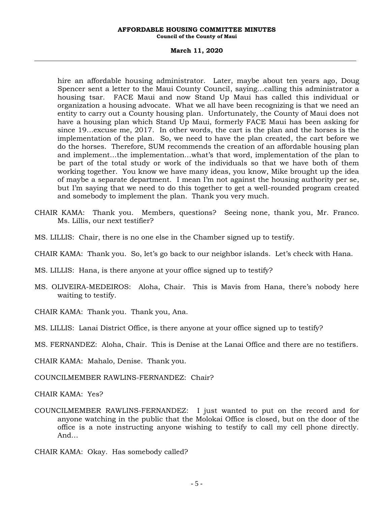**Council of the County of Maui**

#### **March 11, 2020**

hire an affordable housing administrator. Later, maybe about ten years ago, Doug Spencer sent a letter to the Maui County Council, saying…calling this administrator a housing tsar. FACE Maui and now Stand Up Maui has called this individual or organization a housing advocate. What we all have been recognizing is that we need an entity to carry out a County housing plan. Unfortunately, the County of Maui does not have a housing plan which Stand Up Maui, formerly FACE Maui has been asking for since 19…excuse me, 2017. In other words, the cart is the plan and the horses is the implementation of the plan. So, we need to have the plan created, the cart before we do the horses. Therefore, SUM recommends the creation of an affordable housing plan and implement…the implementation…what's that word, implementation of the plan to be part of the total study or work of the individuals so that we have both of them working together. You know we have many ideas, you know, Mike brought up the idea of maybe a separate department. I mean I'm not against the housing authority per se, but I'm saying that we need to do this together to get a well-rounded program created and somebody to implement the plan. Thank you very much.

- CHAIR KAMA: Thank you. Members, questions? Seeing none, thank you, Mr. Franco. Ms. Lillis, our next testifier?
- MS. LILLIS: Chair, there is no one else in the Chamber signed up to testify.
- CHAIR KAMA: Thank you. So, let's go back to our neighbor islands. Let's check with Hana.
- MS. LILLIS: Hana, is there anyone at your office signed up to testify?
- MS. OLIVEIRA-MEDEIROS: Aloha, Chair. This is Mavis from Hana, there's nobody here waiting to testify.

CHAIR KAMA: Thank you. Thank you, Ana.

MS. LILLIS: Lanai District Office, is there anyone at your office signed up to testify?

MS. FERNANDEZ: Aloha, Chair. This is Denise at the Lanai Office and there are no testifiers.

CHAIR KAMA: Mahalo, Denise. Thank you.

COUNCILMEMBER RAWLINS-FERNANDEZ: Chair?

CHAIR KAMA: Yes?

- COUNCILMEMBER RAWLINS-FERNANDEZ: I just wanted to put on the record and for anyone watching in the public that the Molokai Office is closed, but on the door of the office is a note instructing anyone wishing to testify to call my cell phone directly. And…
- CHAIR KAMA: Okay. Has somebody called?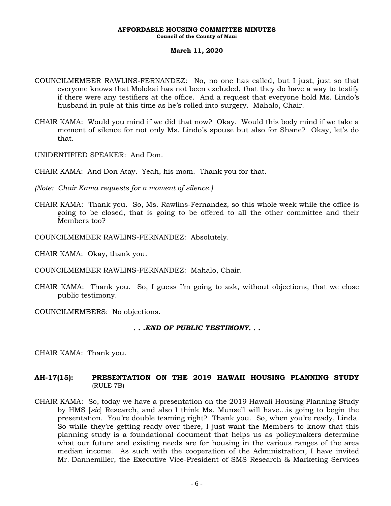#### **March 11, 2020**

- COUNCILMEMBER RAWLINS-FERNANDEZ: No, no one has called, but I just, just so that everyone knows that Molokai has not been excluded, that they do have a way to testify if there were any testifiers at the office. And a request that everyone hold Ms. Lindo's husband in pule at this time as he's rolled into surgery. Mahalo, Chair.
- CHAIR KAMA: Would you mind if we did that now? Okay. Would this body mind if we take a moment of silence for not only Ms. Lindo's spouse but also for Shane? Okay, let's do that.
- UNIDENTIFIED SPEAKER: And Don.
- CHAIR KAMA: And Don Atay. Yeah, his mom. Thank you for that.
- *(Note: Chair Kama requests for a moment of silence.)*
- CHAIR KAMA: Thank you. So, Ms. Rawlins-Fernandez, so this whole week while the office is going to be closed, that is going to be offered to all the other committee and their Members too?
- COUNCILMEMBER RAWLINS-FERNANDEZ: Absolutely.
- CHAIR KAMA: Okay, thank you.
- COUNCILMEMBER RAWLINS-FERNANDEZ: Mahalo, Chair.
- CHAIR KAMA: Thank you. So, I guess I'm going to ask, without objections, that we close public testimony.

COUNCILMEMBERS: No objections.

*. . .END OF PUBLIC TESTIMONY. . .*

CHAIR KAMA: Thank you.

## **AH-17(15): PRESENTATION ON THE 2019 HAWAII HOUSING PLANNING STUDY**  (RULE 7B)

CHAIR KAMA: So, today we have a presentation on the 2019 Hawaii Housing Planning Study by HMS [*sic*] Research, and also I think Ms. Munsell will have…is going to begin the presentation. You're double teaming right? Thank you. So, when you're ready, Linda. So while they're getting ready over there, I just want the Members to know that this planning study is a foundational document that helps us as policymakers determine what our future and existing needs are for housing in the various ranges of the area median income. As such with the cooperation of the Administration, I have invited Mr. Dannemiller, the Executive Vice-President of SMS Research & Marketing Services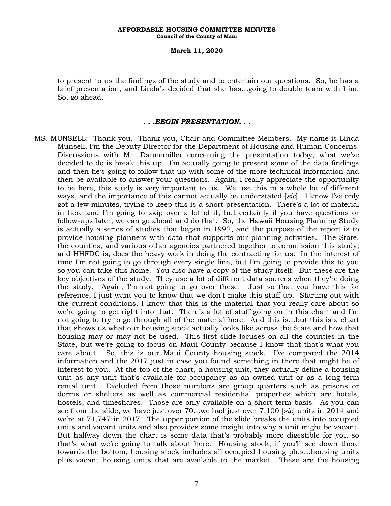### **March 11, 2020**

to present to us the findings of the study and to entertain our questions. So, he has a brief presentation, and Linda's decided that she has…going to double team with him. So, go ahead.

### *. . .BEGIN PRESENTATION. . .*

MS. MUNSELL: Thank you. Thank you, Chair and Committee Members. My name is Linda Munsell, I'm the Deputy Director for the Department of Housing and Human Concerns. Discussions with Mr. Dannemiller concerning the presentation today, what we've decided to do is break this up. I'm actually going to present some of the data findings and then he's going to follow that up with some of the more technical information and then be available to answer your questions. Again, I really appreciate the opportunity to be here, this study is very important to us. We use this in a whole lot of different ways, and the importance of this cannot actually be understated [*sic*]. I know I've only got a few minutes, trying to keep this is a short presentation. There's a lot of material in here and I'm going to skip over a lot of it, but certainly if you have questions or follow-ups later, we can go ahead and do that. So, the Hawaii Housing Planning Study is actually a series of studies that began in 1992, and the purpose of the report is to provide housing planners with data that supports our planning activities. The State, the counties, and various other agencies partnered together to commission this study, and HHFDC is, does the heavy work in doing the contracting for us. In the interest of time I'm not going to go through every single line, but I'm going to provide this to you so you can take this home. You also have a copy of the study itself. But these are the key objectives of the study. They use a lot of different data sources when they're doing the study. Again, I'm not going to go over these. Just so that you have this for reference, I just want you to know that we don't make this stuff up. Starting out with the current conditions, I know that this is the material that you really care about so we're going to get right into that. There's a lot of stuff going on in this chart and I'm not going to try to go through all of the material here. And this is…but this is a chart that shows us what our housing stock actually looks like across the State and how that housing may or may not be used. This first slide focuses on all the counties in the State, but we're going to focus on Maui County because I know that that's what you care about. So, this is our Maui County housing stock. I've compared the 2014 information and the 2017 just in case you found something in there that might be of interest to you. At the top of the chart, a housing unit, they actually define a housing unit as any unit that's available for occupancy as an owned unit or as a long-term rental unit. Excluded from those numbers are group quarters such as prisons or dorms or shelters as well as commercial residential properties which are hotels, hostels, and timeshares. Those are only available on a short-term basis. As you can see from the slide, we have just over 70…we had just over 7,100 [*sic*] units in 2014 and we're at 71,747 in 2017. The upper portion of the slide breaks the units into occupied units and vacant units and also provides some insight into why a unit might be vacant. But halfway down the chart is some data that's probably more digestible for you so that's what we're going to talk about here. Housing stock, if you'll see down there towards the bottom, housing stock includes all occupied housing plus…housing units plus vacant housing units that are available to the market. These are the housing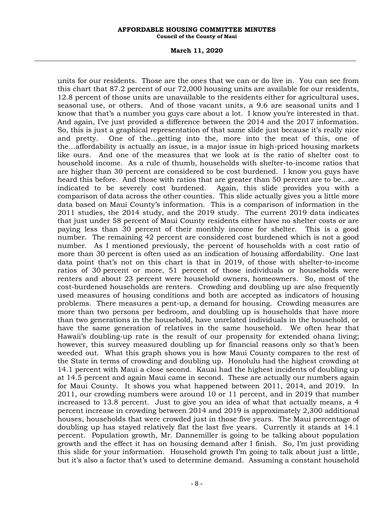**Council of the County of Maui**

#### **March 11, 2020**

units for our residents. Those are the ones that we can or do live in. You can see from this chart that 87.2 percent of our 72,000 housing units are available for our residents, 12.8 percent of those units are unavailable to the residents either for agricultural uses, seasonal use, or others. And of those vacant units, a 9.6 are seasonal units and I know that that's a number you guys care about a lot. I know you're interested in that. And again, I've just provided a difference between the 2014 and the 2017 information. So, this is just a graphical representation of that same slide just because it's really nice and pretty. One of the…getting into the, more into the meat of this, one of the…affordability is actually an issue, is a major issue in high-priced housing markets like ours. And one of the measures that we look at is the ratio of shelter cost to household income. As a rule of thumb, households with shelter-to-income ratios that are higher than 30 percent are considered to be cost burdened. I know you guys have heard this before. And those with ratios that are greater than 50 percent are to be…are indicated to be severely cost burdened. Again, this slide provides you with a comparison of data across the other counties. This slide actually gives you a little more data based on Maui County's information. This is a comparison of information in the 2011 studies, the 2014 study, and the 2019 study. The current 2019 data indicates that just under 58 percent of Maui County residents either have no shelter costs or are paying less than 30 percent of their monthly income for shelter. This is a good number. The remaining 42 percent are considered cost burdened which is not a good number. As I mentioned previously, the percent of households with a cost ratio of more than 30 percent is often used as an indication of housing affordability. One last data point that's not on this chart is that in 2019, of those with shelter-to-income ratios of 30 percent or more, 51 percent of those individuals or households were renters and about 23 percent were household owners, homeowners. So, most of the cost-burdened households are renters. Crowding and doubling up are also frequently used measures of housing conditions and both are accepted as indicators of housing problems. There measures a pent-up, a demand for housing. Crowding measures are more than two persons per bedroom, and doubling up is households that have more than two generations in the household, have unrelated individuals in the household, or have the same generation of relatives in the same household. We often hear that Hawaii's doubling-up rate is the result of our propensity for extended ohana living; however, this survey measured doubling up for financial reasons only so that's been weeded out. What this graph shows you is how Maui County compares to the rest of the State in terms of crowding and doubling up. Honolulu had the highest crowding at 14.1 percent with Maui a close second. Kauai had the highest incidents of doubling up at 14.5 percent and again Maui came in second. These are actually our numbers again for Maui County. It shows you what happened between 2011, 2014, and 2019. In 2011, our crowding numbers were around 10 or 11 percent, and in 2019 that number increased to 13.8 percent. Just to give you an idea of what that actually means, a 4 percent increase in crowding between 2014 and 2019 is approximately 2,300 additional houses, households that were crowded just in those five years. The Maui percentage of doubling up has stayed relatively flat the last five years. Currently it stands at 14.1 percent. Population growth, Mr. Dannemiller is going to be talking about population growth and the effect it has on housing demand after I finish. So, I'm just providing this slide for your information. Household growth I'm going to talk about just a little, but it's also a factor that's used to determine demand. Assuming a constant household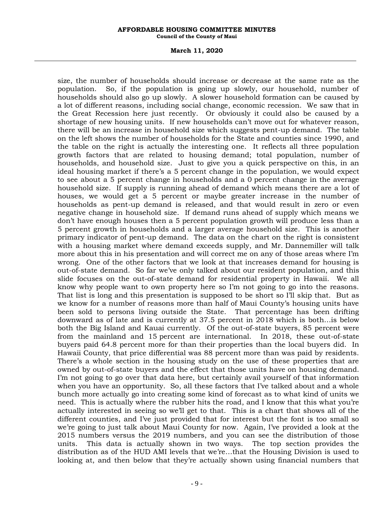**Council of the County of Maui**

#### **March 11, 2020**

size, the number of households should increase or decrease at the same rate as the population. So, if the population is going up slowly, our household, number of households should also go up slowly. A slower household formation can be caused by a lot of different reasons, including social change, economic recession. We saw that in the Great Recession here just recently. Or obviously it could also be caused by a shortage of new housing units. If new households can't move out for whatever reason, there will be an increase in household size which suggests pent-up demand. The table on the left shows the number of households for the State and counties since 1990, and the table on the right is actually the interesting one. It reflects all three population growth factors that are related to housing demand; total population, number of households, and household size. Just to give you a quick perspective on this, in an ideal housing market if there's a 5 percent change in the population, we would expect to see about a 5 percent change in households and a 0 percent change in the average household size. If supply is running ahead of demand which means there are a lot of houses, we would get a 5 percent or maybe greater increase in the number of households as pent-up demand is released, and that would result in zero or even negative change in household size. If demand runs ahead of supply which means we don't have enough houses then a 5 percent population growth will produce less than a 5 percent growth in households and a larger average household size. This is another primary indicator of pent-up demand. The data on the chart on the right is consistent with a housing market where demand exceeds supply, and Mr. Dannemiller will talk more about this in his presentation and will correct me on any of those areas where I'm wrong. One of the other factors that we look at that increases demand for housing is out-of-state demand. So far we've only talked about our resident population, and this slide focuses on the out-of-state demand for residential property in Hawaii. We all know why people want to own property here so I'm not going to go into the reasons. That list is long and this presentation is supposed to be short so I'll skip that. But as we know for a number of reasons more than half of Maui County's housing units have been sold to persons living outside the State. That percentage has been drifting downward as of late and is currently at 37.5 percent in 2018 which is both…is below both the Big Island and Kauai currently. Of the out-of-state buyers, 85 percent were from the mainland and 15 percent are international. In 2018, these out-of-state buyers paid 64.8 percent more for than their properties than the local buyers did. In Hawaii County, that price differential was 88 percent more than was paid by residents. There's a whole section in the housing study on the use of these properties that are owned by out-of-state buyers and the effect that those units have on housing demand. I'm not going to go over that data here, but certainly avail yourself of that information when you have an opportunity. So, all these factors that I've talked about and a whole bunch more actually go into creating some kind of forecast as to what kind of units we need. This is actually where the rubber hits the road, and I know that this what you're actually interested in seeing so we'll get to that. This is a chart that shows all of the different counties, and I've just provided that for interest but the font is too small so we're going to just talk about Maui County for now. Again, I've provided a look at the 2015 numbers versus the 2019 numbers, and you can see the distribution of those units. This data is actually shown in two ways. The top section provides the distribution as of the HUD AMI levels that we're…that the Housing Division is used to looking at, and then below that they're actually shown using financial numbers that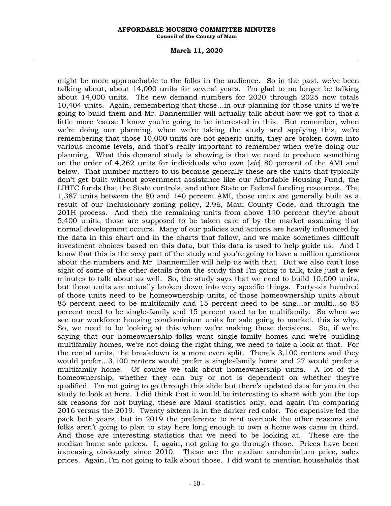**Council of the County of Maui**

#### **March 11, 2020**

might be more approachable to the folks in the audience. So in the past, we've been talking about, about 14,000 units for several years. I'm glad to no longer be talking about 14,000 units. The new demand numbers for 2020 through 2025 now totals 10,404 units. Again, remembering that those…in our planning for those units if we're going to build them and Mr. Dannemiller will actually talk about how we got to that a little more 'cause I know you're going to be interested in this. But remember, when we're doing our planning, when we're taking the study and applying this, we're remembering that those 10,000 units are not generic units, they are broken down into various income levels, and that's really important to remember when we're doing our planning. What this demand study is showing is that we need to produce something on the order of 4,262 units for individuals who own [*sic*] 80 percent of the AMI and below. That number matters to us because generally these are the units that typically don't get built without government assistance like our Affordable Housing Fund, the LIHTC funds that the State controls, and other State or Federal funding resources. The 1,387 units between the 80 and 140 percent AMI, those units are generally built as a result of our inclusionary zoning policy, 2.96, Maui County Code, and through the 201H process. And then the remaining units from above 140 percent they're about 5,400 units, those are supposed to be taken care of by the market assuming that normal development occurs. Many of our policies and actions are heavily influenced by the data in this chart and in the charts that follow, and we make sometimes difficult investment choices based on this data, but this data is used to help guide us. And I know that this is the sexy part of the study and you're going to have a million questions about the numbers and Mr. Dannemiller will help us with that. But we also can't lose sight of some of the other details from the study that I'm going to talk, take just a few minutes to talk about as well. So, the study says that we need to build 10,000 units, but those units are actually broken down into very specific things. Forty-six hundred of those units need to be homeownership units, of those homeownership units about 85 percent need to be multifamily and 15 percent need to be sing…or multi…so 85 percent need to be single-family and 15 percent need to be multifamily. So when we see our workforce housing condominium units for sale going to market, this is why. So, we need to be looking at this when we're making those decisions. So, if we're saying that our homeownership folks want single-family homes and we're building multifamily homes, we're not doing the right thing, we need to take a look at that. For the rental units, the breakdown is a more even split. There's 3,100 renters and they would prefer...3,100 renters would prefer a single-family home and 27 would prefer a multifamily home. Of course we talk about homeownership units. A lot of the homeownership, whether they can buy or not is dependent on whether they're qualified. I'm not going to go through this slide but there's updated data for you in the study to look at here. I did think that it would be interesting to share with you the top six reasons for not buying, these are Maui statistics only, and again I'm comparing 2016 versus the 2019. Twenty sixteen is in the darker red color. Too expensive led the pack both years, but in 2019 the preference to rent overtook the other reasons and folks aren't going to plan to stay here long enough to own a home was came in third. And those are interesting statistics that we need to be looking at. These are the median home sale prices. I, again, not going to go through those. Prices have been increasing obviously since 2010. These are the median condominium price, sales prices. Again, I'm not going to talk about those. I did want to mention households that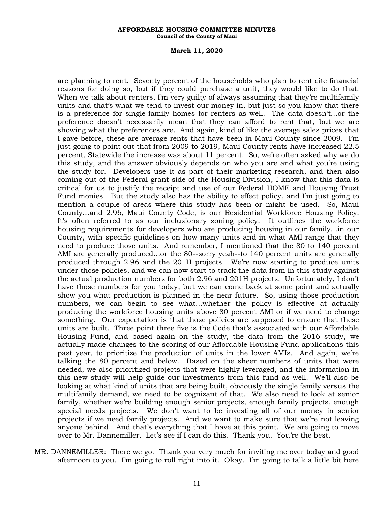**Council of the County of Maui**

#### **March 11, 2020**

are planning to rent. Seventy percent of the households who plan to rent cite financial reasons for doing so, but if they could purchase a unit, they would like to do that. When we talk about renters, I'm very guilty of always assuming that they're multifamily units and that's what we tend to invest our money in, but just so you know that there is a preference for single-family homes for renters as well. The data doesn't…or the preference doesn't necessarily mean that they can afford to rent that, but we are showing what the preferences are. And again, kind of like the average sales prices that I gave before, these are average rents that have been in Maui County since 2009. I'm just going to point out that from 2009 to 2019, Maui County rents have increased 22.5 percent, Statewide the increase was about 11 percent. So, we're often asked why we do this study, and the answer obviously depends on who you are and what you're using the study for. Developers use it as part of their marketing research, and then also coming out of the Federal grant side of the Housing Division, I know that this data is critical for us to justify the receipt and use of our Federal HOME and Housing Trust Fund monies. But the study also has the ability to effect policy, and I'm just going to mention a couple of areas where this study has been or might be used. So, Maui County…and 2.96, Maui County Code, is our Residential Workforce Housing Policy. It's often referred to as our inclusionary zoning policy. It outlines the workforce housing requirements for developers who are producing housing in our family…in our County, with specific guidelines on how many units and in what AMI range that they need to produce those units. And remember, I mentioned that the 80 to 140 percent AMI are generally produced…or the 80--sorry yeah--to 140 percent units are generally produced through 2.96 and the 201H projects. We're now starting to produce units under those policies, and we can now start to track the data from in this study against the actual production numbers for both 2.96 and 201H projects. Unfortunately, I don't have those numbers for you today, but we can come back at some point and actually show you what production is planned in the near future. So, using those production numbers, we can begin to see what…whether the policy is effective at actually producing the workforce housing units above 80 percent AMI or if we need to change something. Our expectation is that those policies are supposed to ensure that these units are built. Three point three five is the Code that's associated with our Affordable Housing Fund, and based again on the study, the data from the 2016 study, we actually made changes to the scoring of our Affordable Housing Fund applications this past year, to prioritize the production of units in the lower AMIs. And again, we're talking the 80 percent and below. Based on the sheer numbers of units that were needed, we also prioritized projects that were highly leveraged, and the information in this new study will help guide our investments from this fund as well. We'll also be looking at what kind of units that are being built, obviously the single family versus the multifamily demand, we need to be cognizant of that. We also need to look at senior family, whether we're building enough senior projects, enough family projects, enough special needs projects. We don't want to be investing all of our money in senior projects if we need family projects. And we want to make sure that we're not leaving anyone behind. And that's everything that I have at this point. We are going to move over to Mr. Dannemiller. Let's see if I can do this. Thank you. You're the best.

MR. DANNEMILLER: There we go. Thank you very much for inviting me over today and good afternoon to you. I'm going to roll right into it. Okay. I'm going to talk a little bit here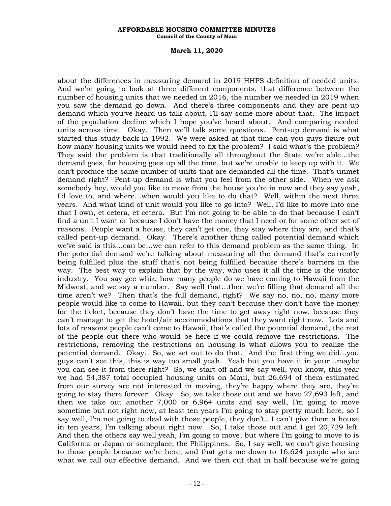**Council of the County of Maui**

#### **March 11, 2020**

about the differences in measuring demand in 2019 HHPS definition of needed units. And we're going to look at three different components, that difference between the number of housing units that we needed in 2016, the number we needed in 2019 when you saw the demand go down. And there's three components and they are pent-up demand which you've heard us talk about, I'll say some more about that. The impact of the population decline which I hope you've heard about. And comparing needed units across time. Okay. Then we'll talk some questions. Pent-up demand is what started this study back in 1992. We were asked at that time can you guys figure out how many housing units we would need to fix the problem? I said what's the problem? They said the problem is that traditionally all throughout the State we're able…the demand goes, for housing goes up all the time, but we're unable to keep up with it. We can't produce the same number of units that are demanded all the time. That's unmet demand right? Pent-up demand is what you feel from the other side. When we ask somebody hey, would you like to move from the house you're in now and they say yeah, I'd love to, and where…when would you like to do that? Well, within the next three years. And what kind of unit would you like to go into? Well, I'd like to move into one that I own, et cetera, et cetera. But I'm not going to be able to do that because I can't find a unit I want or because I don't have the money that I need or for some other set of reasons. People want a house, they can't get one, they stay where they are, and that's called pent-up demand. Okay. There's another thing called potential demand which we've said is this…can be…we can refer to this demand problem as the same thing. In the potential demand we're talking about measuring all the demand that's currently being fulfilled plus the stuff that's not being fulfilled because there's barriers in the way. The best way to explain that by the way, who uses it all the time is the visitor industry. You say gee whiz, how many people do we have coming to Hawaii from the Midwest, and we say a number. Say well that…then we're filling that demand all the time aren't we? Then that's the full demand, right? We say no, no, no, many more people would like to come to Hawaii, but they can't because they don't have the money for the ticket, because they don't have the time to get away right now, because they can't manage to get the hotel/air accommodations that they want right now. Lots and lots of reasons people can't come to Hawaii, that's called the potential demand, the rest of the people out there who would be here if we could remove the restrictions. The restrictions, removing the restrictions on housing is what allows you to realize the potential demand. Okay. So, we set out to do that. And the first thing we did…you guys can't see this, this is way too small yeah. Yeah but you have it in your…maybe you can see it from there right? So, we start off and we say well, you know, this year we had 54,387 total occupied housing units on Maui, but 26,694 of them estimated from our survey are not interested in moving, they're happy where they are, they're going to stay there forever. Okay. So, we take those out and we have 27,693 left, and then we take out another 7,000 or 6,964 units and say well, I'm going to move sometime but not right now, at least ten years I'm going to stay pretty much here, so I say well, I'm not going to deal with those people, they don't…I can't give them a house in ten years, I'm talking about right now. So, I take those out and I get 20,729 left. And then the others say well yeah, I'm going to move, but where I'm going to move to is California or Japan or someplace, the Philippines. So, I say well, we can't give housing to those people because we're here, and that gets me down to 16,624 people who are what we call our effective demand. And we then cut that in half because we're going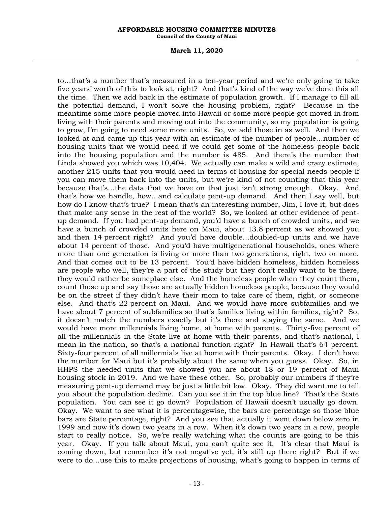**Council of the County of Maui**

#### **March 11, 2020**

to…that's a number that's measured in a ten-year period and we're only going to take five years' worth of this to look at, right? And that's kind of the way we've done this all the time. Then we add back in the estimate of population growth. If I manage to fill all the potential demand, I won't solve the housing problem, right? Because in the meantime some more people moved into Hawaii or some more people got moved in from living with their parents and moving out into the community, so my population is going to grow, I'm going to need some more units. So, we add those in as well. And then we looked at and came up this year with an estimate of the number of people…number of housing units that we would need if we could get some of the homeless people back into the housing population and the number is 485. And there's the number that Linda showed you which was 10,404. We actually can make a wild and crazy estimate, another 215 units that you would need in terms of housing for special needs people if you can move them back into the units, but we're kind of not counting that this year because that's…the data that we have on that just isn't strong enough. Okay. And that's how we handle, how…and calculate pent-up demand. And then I say well, but how do I know that's true? I mean that's an interesting number, Jim, I love it, but does that make any sense in the rest of the world? So, we looked at other evidence of pentup demand. If you had pent-up demand, you'd have a bunch of crowded units, and we have a bunch of crowded units here on Maui, about 13.8 percent as we showed you and then 14 percent right? And you'd have double…doubled-up units and we have about 14 percent of those. And you'd have multigenerational households, ones where more than one generation is living or more than two generations, right, two or more. And that comes out to be 13 percent. You'd have hidden homeless, hidden homeless are people who well, they're a part of the study but they don't really want to be there, they would rather be someplace else. And the homeless people when they count them, count those up and say those are actually hidden homeless people, because they would be on the street if they didn't have their mom to take care of them, right, or someone else. And that's 22 percent on Maui. And we would have more subfamilies and we have about 7 percent of subfamilies so that's families living within families, right? So, it doesn't match the numbers exactly but it's there and staying the same. And we would have more millennials living home, at home with parents. Thirty-five percent of all the millennials in the State live at home with their parents, and that's national, I mean in the nation, so that's a national function right? In Hawaii that's 64 percent. Sixty-four percent of all millennials live at home with their parents. Okay. I don't have the number for Maui but it's probably about the same when you guess. Okay. So, in HHPS the needed units that we showed you are about 18 or 19 percent of Maui housing stock in 2019. And we have these other. So, probably our numbers if they're measuring pent-up demand may be just a little bit low. Okay. They did want me to tell you about the population decline. Can you see it in the top blue line? That's the State population. You can see it go down? Population of Hawaii doesn't usually go down. Okay. We want to see what it is percentagewise, the bars are percentage so those blue bars are State percentage, right? And you see that actually it went down below zero in 1999 and now it's down two years in a row. When it's down two years in a row, people start to really notice. So, we're really watching what the counts are going to be this year. Okay. If you talk about Maui, you can't quite see it. It's clear that Maui is coming down, but remember it's not negative yet, it's still up there right? But if we were to do…use this to make projections of housing, what's going to happen in terms of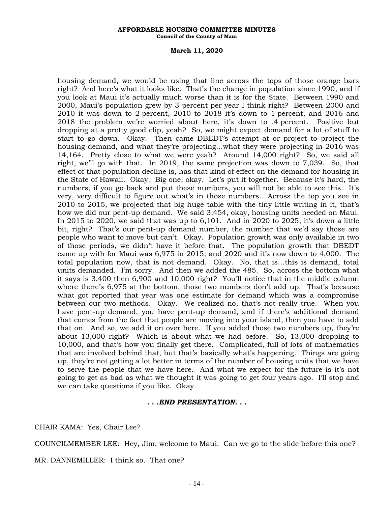**Council of the County of Maui**

#### **March 11, 2020**

housing demand, we would be using that line across the tops of those orange bars right? And here's what it looks like. That's the change in population since 1990, and if you look at Maui it's actually much worse than it is for the State. Between 1990 and 2000, Maui's population grew by 3 percent per year I think right? Between 2000 and 2010 it was down to 2 percent, 2010 to 2018 it's down to 1 percent, and 2016 and 2018 the problem we're worried about here, it's down to .4 percent. Positive but dropping at a pretty good clip, yeah? So, we might expect demand for a lot of stuff to start to go down. Okay. Then came DBEDT's attempt at or project to project the housing demand, and what they're projecting…what they were projecting in 2016 was 14,164. Pretty close to what we were yeah? Around 14,000 right? So, we said all right, we'll go with that. In 2019, the same projection was down to 7,039. So, that effect of that population decline is, has that kind of effect on the demand for housing in the State of Hawaii. Okay. Big one, okay. Let's put it together. Because it's hard, the numbers, if you go back and put these numbers, you will not be able to see this. It's very, very difficult to figure out what's in those numbers. Across the top you see in 2010 to 2015, we projected that big huge table with the tiny little writing in it, that's how we did our pent-up demand. We said 3,454, okay, housing units needed on Maui. In 2015 to 2020, we said that was up to 6,101. And in 2020 to 2025, it's down a little bit, right? That's our pent-up demand number, the number that we'd say those are people who want to move but can't. Okay. Population growth was only available in two of those periods, we didn't have it before that. The population growth that DBEDT came up with for Maui was 6,975 in 2015, and 2020 and it's now down to 4,000. The total population now, that is not demand. Okay. No, that is…this is demand, total units demanded. I'm sorry. And then we added the 485. So, across the bottom what it says is 3,400 then 6,900 and 10,000 right? You'll notice that in the middle column where there's 6,975 at the bottom, those two numbers don't add up. That's because what got reported that year was one estimate for demand which was a compromise between our two methods. Okay. We realized no, that's not really true. When you have pent-up demand, you have pent-up demand, and if there's additional demand that comes from the fact that people are moving into your island, then you have to add that on. And so, we add it on over here. If you added those two numbers up, they're about 13,000 right? Which is about what we had before. So, 13,000 dropping to 10,000, and that's how you finally get there. Complicated, full of lots of mathematics that are involved behind that, but that's basically what's happening. Things are going up, they're not getting a lot better in terms of the number of housing units that we have to serve the people that we have here. And what we expect for the future is it's not going to get as bad as what we thought it was going to get four years ago. I'll stop and we can take questions if you like. Okay.

### *. . .END PRESENTATION. . .*

CHAIR KAMA: Yes, Chair Lee?

COUNCILMEMBER LEE: Hey, Jim, welcome to Maui. Can we go to the slide before this one?

MR. DANNEMILLER: I think so. That one?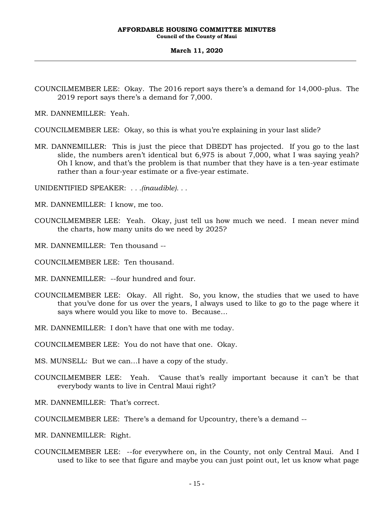**Council of the County of Maui**

### **March 11, 2020**

COUNCILMEMBER LEE: Okay. The 2016 report says there's a demand for 14,000-plus. The 2019 report says there's a demand for 7,000.

MR. DANNEMILLER: Yeah.

COUNCILMEMBER LEE: Okay, so this is what you're explaining in your last slide?

MR. DANNEMILLER: This is just the piece that DBEDT has projected. If you go to the last slide, the numbers aren't identical but 6,975 is about 7,000, what I was saying yeah? Oh I know, and that's the problem is that number that they have is a ten-year estimate rather than a four-year estimate or a five-year estimate.

UNIDENTIFIED SPEAKER: *. . .(inaudible). . .*

MR. DANNEMILLER: I know, me too.

COUNCILMEMBER LEE: Yeah. Okay, just tell us how much we need. I mean never mind the charts, how many units do we need by 2025?

MR. DANNEMILLER: Ten thousand --

- COUNCILMEMBER LEE: Ten thousand.
- MR. DANNEMILLER: --four hundred and four.
- COUNCILMEMBER LEE: Okay. All right. So, you know, the studies that we used to have that you've done for us over the years, I always used to like to go to the page where it says where would you like to move to. Because…

MR. DANNEMILLER: I don't have that one with me today.

COUNCILMEMBER LEE: You do not have that one. Okay.

MS. MUNSELL: But we can…I have a copy of the study.

- COUNCILMEMBER LEE: Yeah. 'Cause that's really important because it can't be that everybody wants to live in Central Maui right?
- MR. DANNEMILLER: That's correct.

COUNCILMEMBER LEE: There's a demand for Upcountry, there's a demand --

- MR. DANNEMILLER: Right.
- COUNCILMEMBER LEE: --for everywhere on, in the County, not only Central Maui. And I used to like to see that figure and maybe you can just point out, let us know what page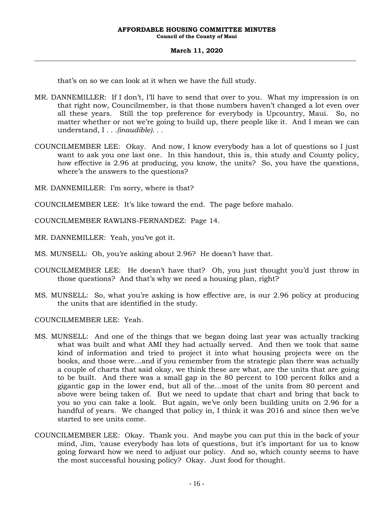### **March 11, 2020**

that's on so we can look at it when we have the full study.

- MR. DANNEMILLER: If I don't, I'll have to send that over to you. What my impression is on that right now, Councilmember, is that those numbers haven't changed a lot even over all these years. Still the top preference for everybody is Upcountry, Maui. So, no matter whether or not we're going to build up, there people like it. And I mean we can understand, I *. . .(inaudible). . .*
- COUNCILMEMBER LEE: Okay. And now, I know everybody has a lot of questions so I just want to ask you one last one. In this handout, this is, this study and County policy, how effective is 2.96 at producing, you know, the units? So, you have the questions, where's the answers to the questions?
- MR. DANNEMILLER: I'm sorry, where is that?

COUNCILMEMBER LEE: It's like toward the end. The page before mahalo.

COUNCILMEMBER RAWLINS-FERNANDEZ: Page 14.

MR. DANNEMILLER: Yeah, you've got it.

- MS. MUNSELL: Oh, you're asking about 2.96? He doesn't have that.
- COUNCILMEMBER LEE: He doesn't have that? Oh, you just thought you'd just throw in those questions? And that's why we need a housing plan, right?
- MS. MUNSELL: So, what you're asking is how effective are, is our 2.96 policy at producing the units that are identified in the study.

COUNCILMEMBER LEE: Yeah.

- MS. MUNSELL: And one of the things that we began doing last year was actually tracking what was built and what AMI they had actually served. And then we took that same kind of information and tried to project it into what housing projects were on the books, and those were…and if you remember from the strategic plan there was actually a couple of charts that said okay, we think these are what, are the units that are going to be built. And there was a small gap in the 80 percent to 100 percent folks and a gigantic gap in the lower end, but all of the…most of the units from 80 percent and above were being taken of. But we need to update that chart and bring that back to you so you can take a look. But again, we've only been building units on 2.96 for a handful of years. We changed that policy in, I think it was 2016 and since then we've started to see units come.
- COUNCILMEMBER LEE: Okay. Thank you. And maybe you can put this in the back of your mind, Jim, 'cause everybody has lots of questions, but it's important for us to know going forward how we need to adjust our policy. And so, which county seems to have the most successful housing policy? Okay. Just food for thought.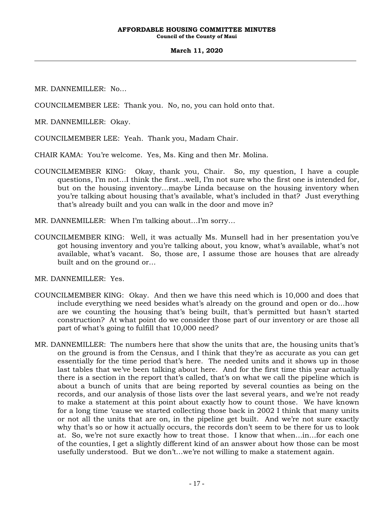**Council of the County of Maui**

### **March 11, 2020**

MR. DANNEMILLER: No…

COUNCILMEMBER LEE: Thank you. No, no, you can hold onto that.

MR. DANNEMILLER: Okay.

COUNCILMEMBER LEE: Yeah. Thank you, Madam Chair.

CHAIR KAMA: You're welcome. Yes, Ms. King and then Mr. Molina.

- COUNCILMEMBER KING: Okay, thank you, Chair. So, my question, I have a couple questions, I'm not…I think the first…well, I'm not sure who the first one is intended for, but on the housing inventory…maybe Linda because on the housing inventory when you're talking about housing that's available, what's included in that? Just everything that's already built and you can walk in the door and move in?
- MR. DANNEMILLER: When I'm talking about…I'm sorry…
- COUNCILMEMBER KING: Well, it was actually Ms. Munsell had in her presentation you've got housing inventory and you're talking about, you know, what's available, what's not available, what's vacant. So, those are, I assume those are houses that are already built and on the ground or…

MR. DANNEMILLER: Yes.

- COUNCILMEMBER KING: Okay. And then we have this need which is 10,000 and does that include everything we need besides what's already on the ground and open or do…how are we counting the housing that's being built, that's permitted but hasn't started construction? At what point do we consider those part of our inventory or are those all part of what's going to fulfill that 10,000 need?
- MR. DANNEMILLER: The numbers here that show the units that are, the housing units that's on the ground is from the Census, and I think that they're as accurate as you can get essentially for the time period that's here. The needed units and it shows up in those last tables that we've been talking about here. And for the first time this year actually there is a section in the report that's called, that's on what we call the pipeline which is about a bunch of units that are being reported by several counties as being on the records, and our analysis of those lists over the last several years, and we're not ready to make a statement at this point about exactly how to count those. We have known for a long time 'cause we started collecting those back in 2002 I think that many units or not all the units that are on, in the pipeline get built. And we're not sure exactly why that's so or how it actually occurs, the records don't seem to be there for us to look at. So, we're not sure exactly how to treat those. I know that when…in…for each one of the counties, I get a slightly different kind of an answer about how those can be most usefully understood. But we don't…we're not willing to make a statement again.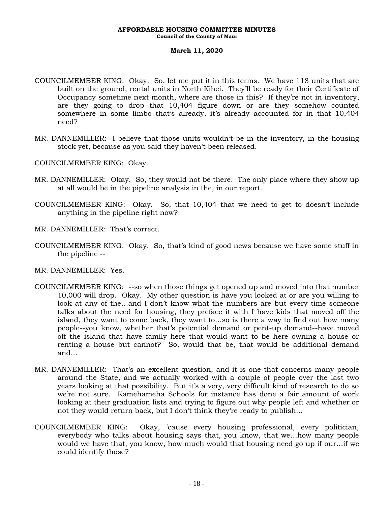### **March 11, 2020**

- COUNCILMEMBER KING: Okay. So, let me put it in this terms. We have 118 units that are built on the ground, rental units in North Kihei. They'll be ready for their Certificate of Occupancy sometime next month, where are those in this? If they're not in inventory, are they going to drop that 10,404 figure down or are they somehow counted somewhere in some limbo that's already, it's already accounted for in that 10,404 need?
- MR. DANNEMILLER: I believe that those units wouldn't be in the inventory, in the housing stock yet, because as you said they haven't been released.

COUNCILMEMBER KING: Okay.

- MR. DANNEMILLER: Okay. So, they would not be there. The only place where they show up at all would be in the pipeline analysis in the, in our report.
- COUNCILMEMBER KING: Okay. So, that 10,404 that we need to get to doesn't include anything in the pipeline right now?
- MR. DANNEMILLER: That's correct.
- COUNCILMEMBER KING: Okay. So, that's kind of good news because we have some stuff in the pipeline --
- MR. DANNEMILLER: Yes.
- COUNCILMEMBER KING: --so when those things get opened up and moved into that number 10,000 will drop. Okay. My other question is have you looked at or are you willing to look at any of the…and I don't know what the numbers are but every time someone talks about the need for housing, they preface it with I have kids that moved off the island, they want to come back, they want to…so is there a way to find out how many people--you know, whether that's potential demand or pent-up demand--have moved off the island that have family here that would want to be here owning a house or renting a house but cannot? So, would that be, that would be additional demand and…
- MR. DANNEMILLER: That's an excellent question, and it is one that concerns many people around the State, and we actually worked with a couple of people over the last two years looking at that possibility. But it's a very, very difficult kind of research to do so we're not sure. Kamehameha Schools for instance has done a fair amount of work looking at their graduation lists and trying to figure out why people left and whether or not they would return back, but I don't think they're ready to publish…
- COUNCILMEMBER KING: Okay, 'cause every housing professional, every politician, everybody who talks about housing says that, you know, that we…how many people would we have that, you know, how much would that housing need go up if our…if we could identify those?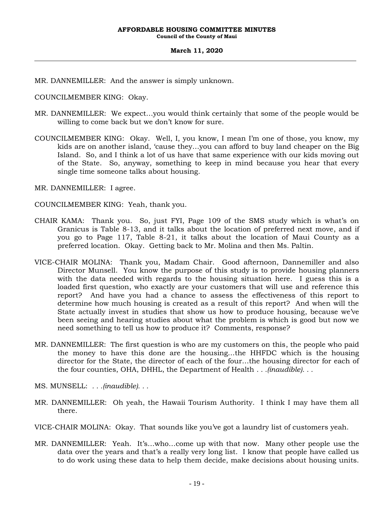MR. DANNEMILLER: And the answer is simply unknown.

COUNCILMEMBER KING: Okay.

- MR. DANNEMILLER: We expect…you would think certainly that some of the people would be willing to come back but we don't know for sure.
- COUNCILMEMBER KING: Okay. Well, I, you know, I mean I'm one of those, you know, my kids are on another island, 'cause they…you can afford to buy land cheaper on the Big Island. So, and I think a lot of us have that same experience with our kids moving out of the State. So, anyway, something to keep in mind because you hear that every single time someone talks about housing.

MR. DANNEMILLER: I agree.

COUNCILMEMBER KING: Yeah, thank you.

- CHAIR KAMA: Thank you. So, just FYI, Page 109 of the SMS study which is what's on Granicus is Table 8-13, and it talks about the location of preferred next move, and if you go to Page 117, Table 8-21, it talks about the location of Maui County as a preferred location. Okay. Getting back to Mr. Molina and then Ms. Paltin.
- VICE-CHAIR MOLINA: Thank you, Madam Chair. Good afternoon, Dannemiller and also Director Munsell. You know the purpose of this study is to provide housing planners with the data needed with regards to the housing situation here. I guess this is a loaded first question, who exactly are your customers that will use and reference this report? And have you had a chance to assess the effectiveness of this report to determine how much housing is created as a result of this report? And when will the State actually invest in studies that show us how to produce housing, because we've been seeing and hearing studies about what the problem is which is good but now we need something to tell us how to produce it? Comments, response?
- MR. DANNEMILLER: The first question is who are my customers on this, the people who paid the money to have this done are the housing…the HHFDC which is the housing director for the State, the director of each of the four…the housing director for each of the four counties, OHA, DHHL, the Department of Health *. . .(inaudible). . .*
- MS. MUNSELL: *. . .(inaudible). . .*
- MR. DANNEMILLER: Oh yeah, the Hawaii Tourism Authority. I think I may have them all there.

VICE-CHAIR MOLINA: Okay. That sounds like you've got a laundry list of customers yeah.

MR. DANNEMILLER: Yeah. It's…who…come up with that now. Many other people use the data over the years and that's a really very long list. I know that people have called us to do work using these data to help them decide, make decisions about housing units.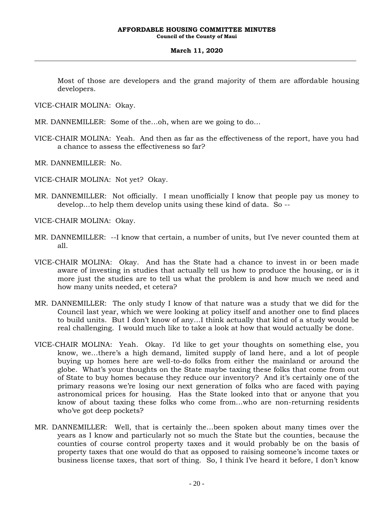### **March 11, 2020**

Most of those are developers and the grand majority of them are affordable housing developers.

VICE-CHAIR MOLINA: Okay.

MR. DANNEMILLER: Some of the…oh, when are we going to do…

VICE-CHAIR MOLINA: Yeah. And then as far as the effectiveness of the report, have you had a chance to assess the effectiveness so far?

MR. DANNEMILLER: No.

VICE-CHAIR MOLINA: Not yet? Okay.

MR. DANNEMILLER: Not officially. I mean unofficially I know that people pay us money to develop…to help them develop units using these kind of data. So --

VICE-CHAIR MOLINA: Okay.

- MR. DANNEMILLER: --I know that certain, a number of units, but I've never counted them at all.
- VICE-CHAIR MOLINA: Okay. And has the State had a chance to invest in or been made aware of investing in studies that actually tell us how to produce the housing, or is it more just the studies are to tell us what the problem is and how much we need and how many units needed, et cetera?
- MR. DANNEMILLER: The only study I know of that nature was a study that we did for the Council last year, which we were looking at policy itself and another one to find places to build units. But I don't know of any…I think actually that kind of a study would be real challenging. I would much like to take a look at how that would actually be done.
- VICE-CHAIR MOLINA: Yeah. Okay. I'd like to get your thoughts on something else, you know, we…there's a high demand, limited supply of land here, and a lot of people buying up homes here are well-to-do folks from either the mainland or around the globe. What's your thoughts on the State maybe taxing these folks that come from out of State to buy homes because they reduce our inventory? And it's certainly one of the primary reasons we're losing our next generation of folks who are faced with paying astronomical prices for housing. Has the State looked into that or anyone that you know of about taxing these folks who come from…who are non-returning residents who've got deep pockets?
- MR. DANNEMILLER: Well, that is certainly the…been spoken about many times over the years as I know and particularly not so much the State but the counties, because the counties of course control property taxes and it would probably be on the basis of property taxes that one would do that as opposed to raising someone's income taxes or business license taxes, that sort of thing. So, I think I've heard it before, I don't know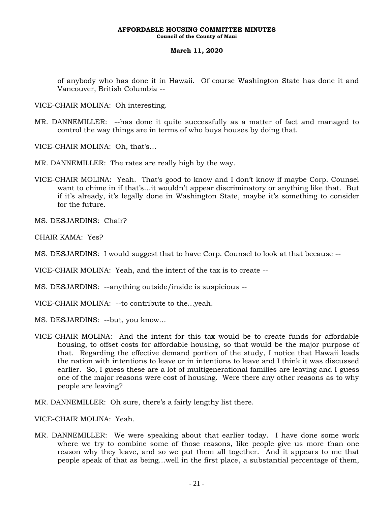### **March 11, 2020**

of anybody who has done it in Hawaii. Of course Washington State has done it and Vancouver, British Columbia --

VICE-CHAIR MOLINA: Oh interesting.

MR. DANNEMILLER: --has done it quite successfully as a matter of fact and managed to control the way things are in terms of who buys houses by doing that.

VICE-CHAIR MOLINA: Oh, that's…

MR. DANNEMILLER: The rates are really high by the way.

VICE-CHAIR MOLINA: Yeah. That's good to know and I don't know if maybe Corp. Counsel want to chime in if that's…it wouldn't appear discriminatory or anything like that. But if it's already, it's legally done in Washington State, maybe it's something to consider for the future.

MS. DESJARDINS: Chair?

CHAIR KAMA: Yes?

MS. DESJARDINS: I would suggest that to have Corp. Counsel to look at that because --

VICE-CHAIR MOLINA: Yeah, and the intent of the tax is to create --

MS. DESJARDINS: --anything outside/inside is suspicious --

VICE-CHAIR MOLINA: --to contribute to the…yeah.

MS. DESJARDINS: --but, you know…

VICE-CHAIR MOLINA: And the intent for this tax would be to create funds for affordable housing, to offset costs for affordable housing, so that would be the major purpose of that. Regarding the effective demand portion of the study, I notice that Hawaii leads the nation with intentions to leave or in intentions to leave and I think it was discussed earlier. So, I guess these are a lot of multigenerational families are leaving and I guess one of the major reasons were cost of housing. Were there any other reasons as to why people are leaving?

MR. DANNEMILLER: Oh sure, there's a fairly lengthy list there.

VICE-CHAIR MOLINA: Yeah.

MR. DANNEMILLER: We were speaking about that earlier today. I have done some work where we try to combine some of those reasons, like people give us more than one reason why they leave, and so we put them all together. And it appears to me that people speak of that as being…well in the first place, a substantial percentage of them,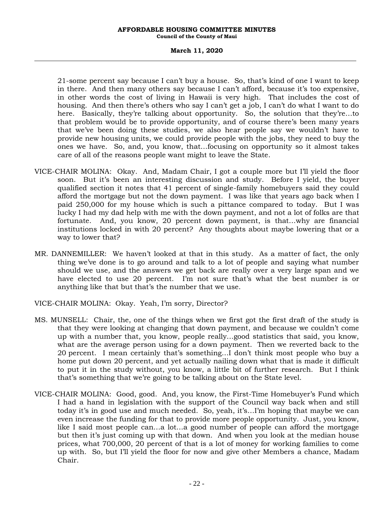### **March 11, 2020**

21-some percent say because I can't buy a house. So, that's kind of one I want to keep in there. And then many others say because I can't afford, because it's too expensive, in other words the cost of living in Hawaii is very high. That includes the cost of housing. And then there's others who say I can't get a job, I can't do what I want to do here. Basically, they're talking about opportunity. So, the solution that they're...to that problem would be to provide opportunity, and of course there's been many years that we've been doing these studies, we also hear people say we wouldn't have to provide new housing units, we could provide people with the jobs, they need to buy the ones we have. So, and, you know, that…focusing on opportunity so it almost takes care of all of the reasons people want might to leave the State.

- VICE-CHAIR MOLINA: Okay. And, Madam Chair, I got a couple more but I'll yield the floor soon. But it's been an interesting discussion and study. Before I yield, the buyer qualified section it notes that 41 percent of single-family homebuyers said they could afford the mortgage but not the down payment. I was like that years ago back when I paid 250,000 for my house which is such a pittance compared to today. But I was lucky I had my dad help with me with the down payment, and not a lot of folks are that fortunate. And, you know, 20 percent down payment, is that…why are financial institutions locked in with 20 percent? Any thoughts about maybe lowering that or a way to lower that?
- MR. DANNEMILLER: We haven't looked at that in this study. As a matter of fact, the only thing we've done is to go around and talk to a lot of people and saying what number should we use, and the answers we get back are really over a very large span and we have elected to use 20 percent. I'm not sure that's what the best number is or anything like that but that's the number that we use.
- VICE-CHAIR MOLINA: Okay. Yeah, I'm sorry, Director?
- MS. MUNSELL: Chair, the, one of the things when we first got the first draft of the study is that they were looking at changing that down payment, and because we couldn't come up with a number that, you know, people really…good statistics that said, you know, what are the average person using for a down payment. Then we reverted back to the 20 percent. I mean certainly that's something…I don't think most people who buy a home put down 20 percent, and yet actually nailing down what that is made it difficult to put it in the study without, you know, a little bit of further research. But I think that's something that we're going to be talking about on the State level.
- VICE-CHAIR MOLINA: Good, good. And, you know, the First-Time Homebuyer's Fund which I had a hand in legislation with the support of the Council way back when and still today it's in good use and much needed. So, yeah, it's…I'm hoping that maybe we can even increase the funding for that to provide more people opportunity. Just, you know, like I said most people can…a lot…a good number of people can afford the mortgage but then it's just coming up with that down. And when you look at the median house prices, what 700,000, 20 percent of that is a lot of money for working families to come up with. So, but I'll yield the floor for now and give other Members a chance, Madam Chair.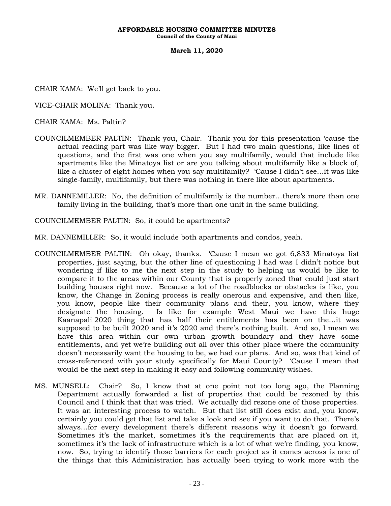**Council of the County of Maui**

#### **March 11, 2020**

CHAIR KAMA: We'll get back to you.

VICE-CHAIR MOLINA: Thank you.

CHAIR KAMA: Ms. Paltin?

- COUNCILMEMBER PALTIN: Thank you, Chair. Thank you for this presentation 'cause the actual reading part was like way bigger. But I had two main questions, like lines of questions, and the first was one when you say multifamily, would that include like apartments like the Minatoya list or are you talking about multifamily like a block of, like a cluster of eight homes when you say multifamily? 'Cause I didn't see…it was like single-family, multifamily, but there was nothing in there like about apartments.
- MR. DANNEMILLER: No, the definition of multifamily is the number…there's more than one family living in the building, that's more than one unit in the same building.

COUNCILMEMBER PALTIN: So, it could be apartments?

- MR. DANNEMILLER: So, it would include both apartments and condos, yeah.
- COUNCILMEMBER PALTIN: Oh okay, thanks. 'Cause I mean we got 6,833 Minatoya list properties, just saying, but the other line of questioning I had was I didn't notice but wondering if like to me the next step in the study to helping us would be like to compare it to the areas within our County that is properly zoned that could just start building houses right now. Because a lot of the roadblocks or obstacles is like, you know, the Change in Zoning process is really onerous and expensive, and then like, you know, people like their community plans and their, you know, where they designate the housing. Is like for example West Maui we have this huge Kaanapali 2020 thing that has half their entitlements has been on the…it was supposed to be built 2020 and it's 2020 and there's nothing built. And so, I mean we have this area within our own urban growth boundary and they have some entitlements, and yet we're building out all over this other place where the community doesn't necessarily want the housing to be, we had our plans. And so, was that kind of cross-referenced with your study specifically for Maui County? 'Cause I mean that would be the next step in making it easy and following community wishes.
- MS. MUNSELL: Chair? So, I know that at one point not too long ago, the Planning Department actually forwarded a list of properties that could be rezoned by this Council and I think that that was tried. We actually did rezone one of those properties. It was an interesting process to watch. But that list still does exist and, you know, certainly you could get that list and take a look and see if you want to do that. There's always…for every development there's different reasons why it doesn't go forward. Sometimes it's the market, sometimes it's the requirements that are placed on it, sometimes it's the lack of infrastructure which is a lot of what we're finding, you know, now. So, trying to identify those barriers for each project as it comes across is one of the things that this Administration has actually been trying to work more with the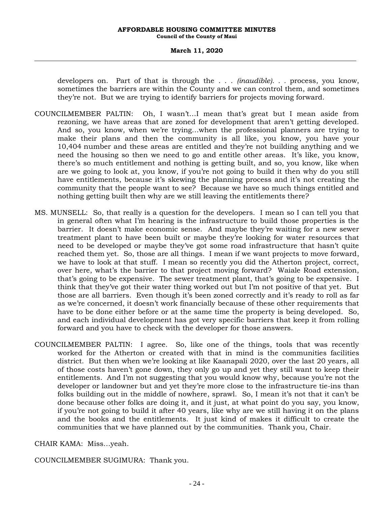#### **March 11, 2020**

developers on. Part of that is through the . . . *(inaudible). . .* process, you know, sometimes the barriers are within the County and we can control them, and sometimes they're not. But we are trying to identify barriers for projects moving forward.

- COUNCILMEMBER PALTIN: Oh, I wasn't…I mean that's great but I mean aside from rezoning, we have areas that are zoned for development that aren't getting developed. And so, you know, when we're trying…when the professional planners are trying to make their plans and then the community is all like, you know, you have your 10,404 number and these areas are entitled and they're not building anything and we need the housing so then we need to go and entitle other areas. It's like, you know, there's so much entitlement and nothing is getting built, and so, you know, like when are we going to look at, you know, if you're not going to build it then why do you still have entitlements, because it's skewing the planning process and it's not creating the community that the people want to see? Because we have so much things entitled and nothing getting built then why are we still leaving the entitlements there?
- MS. MUNSELL: So, that really is a question for the developers. I mean so I can tell you that in general often what I'm hearing is the infrastructure to build those properties is the barrier. It doesn't make economic sense. And maybe they're waiting for a new sewer treatment plant to have been built or maybe they're looking for water resources that need to be developed or maybe they've got some road infrastructure that hasn't quite reached them yet. So, those are all things. I mean if we want projects to move forward, we have to look at that stuff. I mean so recently you did the Atherton project, correct, over here, what's the barrier to that project moving forward? Waiale Road extension, that's going to be expensive. The sewer treatment plant, that's going to be expensive. I think that they've got their water thing worked out but I'm not positive of that yet. But those are all barriers. Even though it's been zoned correctly and it's ready to roll as far as we're concerned, it doesn't work financially because of these other requirements that have to be done either before or at the same time the property is being developed. So, and each individual development has got very specific barriers that keep it from rolling forward and you have to check with the developer for those answers.
- COUNCILMEMBER PALTIN: I agree. So, like one of the things, tools that was recently worked for the Atherton or created with that in mind is the communities facilities district. But then when we're looking at like Kaanapali 2020, over the last 20 years, all of those costs haven't gone down, they only go up and yet they still want to keep their entitlements. And I'm not suggesting that you would know why, because you're not the developer or landowner but and yet they're more close to the infrastructure tie-ins than folks building out in the middle of nowhere, sprawl. So, I mean it's not that it can't be done because other folks are doing it, and it just, at what point do you say, you know, if you're not going to build it after 40 years, like why are we still having it on the plans and the books and the entitlements. It just kind of makes it difficult to create the communities that we have planned out by the communities. Thank you, Chair.

CHAIR KAMA: Miss…yeah.

COUNCILMEMBER SUGIMURA: Thank you.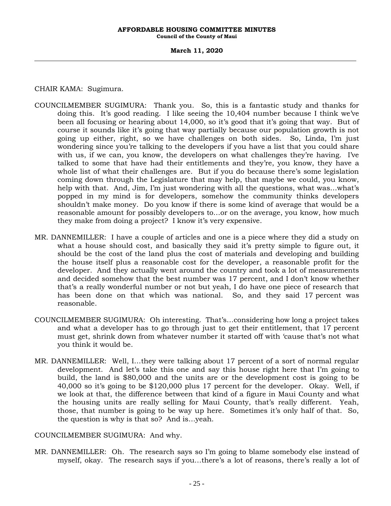**Council of the County of Maui**

#### **March 11, 2020**

## CHAIR KAMA: Sugimura.

- COUNCILMEMBER SUGIMURA: Thank you. So, this is a fantastic study and thanks for doing this. It's good reading. I like seeing the 10,404 number because I think we've been all focusing or hearing about 14,000, so it's good that it's going that way. But of course it sounds like it's going that way partially because our population growth is not going up either, right, so we have challenges on both sides. So, Linda, I'm just wondering since you're talking to the developers if you have a list that you could share with us, if we can, you know, the developers on what challenges they're having. I've talked to some that have had their entitlements and they're, you know, they have a whole list of what their challenges are. But if you do because there's some legislation coming down through the Legislature that may help, that maybe we could, you know, help with that. And, Jim, I'm just wondering with all the questions, what was…what's popped in my mind is for developers, somehow the community thinks developers shouldn't make money. Do you know if there is some kind of average that would be a reasonable amount for possibly developers to…or on the average, you know, how much they make from doing a project? I know it's very expensive.
- MR. DANNEMILLER: I have a couple of articles and one is a piece where they did a study on what a house should cost, and basically they said it's pretty simple to figure out, it should be the cost of the land plus the cost of materials and developing and building the house itself plus a reasonable cost for the developer, a reasonable profit for the developer. And they actually went around the country and took a lot of measurements and decided somehow that the best number was 17 percent, and I don't know whether that's a really wonderful number or not but yeah, I do have one piece of research that has been done on that which was national. So, and they said 17 percent was reasonable.
- COUNCILMEMBER SUGIMURA: Oh interesting. That's…considering how long a project takes and what a developer has to go through just to get their entitlement, that 17 percent must get, shrink down from whatever number it started off with 'cause that's not what you think it would be.
- MR. DANNEMILLER: Well, I…they were talking about 17 percent of a sort of normal regular development. And let's take this one and say this house right here that I'm going to build, the land is \$80,000 and the units are or the development cost is going to be 40,000 so it's going to be \$120,000 plus 17 percent for the developer. Okay. Well, if we look at that, the difference between that kind of a figure in Maui County and what the housing units are really selling for Maui County, that's really different. Yeah, those, that number is going to be way up here. Sometimes it's only half of that. So, the question is why is that so? And is…yeah.

## COUNCILMEMBER SUGIMURA: And why.

MR. DANNEMILLER: Oh. The research says so I'm going to blame somebody else instead of myself, okay. The research says if you…there's a lot of reasons, there's really a lot of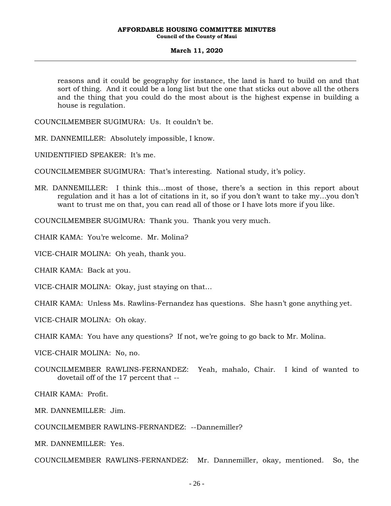### **March 11, 2020**

reasons and it could be geography for instance, the land is hard to build on and that sort of thing. And it could be a long list but the one that sticks out above all the others and the thing that you could do the most about is the highest expense in building a house is regulation.

COUNCILMEMBER SUGIMURA: Us. It couldn't be.

MR. DANNEMILLER: Absolutely impossible, I know.

UNIDENTIFIED SPEAKER: It's me.

COUNCILMEMBER SUGIMURA: That's interesting. National study, it's policy.

MR. DANNEMILLER: I think this…most of those, there's a section in this report about regulation and it has a lot of citations in it, so if you don't want to take my…you don't want to trust me on that, you can read all of those or I have lots more if you like.

COUNCILMEMBER SUGIMURA: Thank you. Thank you very much.

CHAIR KAMA: You're welcome. Mr. Molina?

VICE-CHAIR MOLINA: Oh yeah, thank you.

CHAIR KAMA: Back at you.

VICE-CHAIR MOLINA: Okay, just staying on that…

CHAIR KAMA: Unless Ms. Rawlins-Fernandez has questions. She hasn't gone anything yet.

VICE-CHAIR MOLINA: Oh okay.

CHAIR KAMA: You have any questions? If not, we're going to go back to Mr. Molina.

VICE-CHAIR MOLINA: No, no.

COUNCILMEMBER RAWLINS-FERNANDEZ: Yeah, mahalo, Chair. I kind of wanted to dovetail off of the 17 percent that --

CHAIR KAMA: Profit.

MR. DANNEMILLER: Jim.

COUNCILMEMBER RAWLINS-FERNANDEZ: --Dannemiller?

MR. DANNEMILLER: Yes.

COUNCILMEMBER RAWLINS-FERNANDEZ: Mr. Dannemiller, okay, mentioned. So, the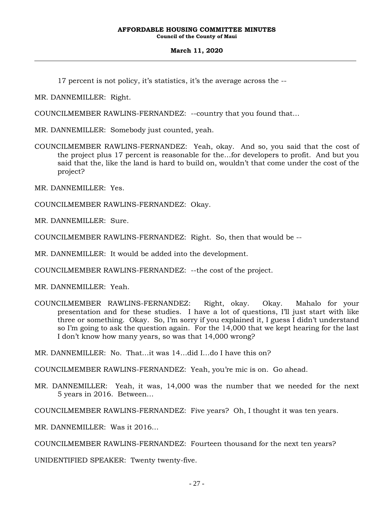### **March 11, 2020**

17 percent is not policy, it's statistics, it's the average across the --

MR. DANNEMILLER: Right.

COUNCILMEMBER RAWLINS-FERNANDEZ: --country that you found that…

MR. DANNEMILLER: Somebody just counted, yeah.

COUNCILMEMBER RAWLINS-FERNANDEZ: Yeah, okay. And so, you said that the cost of the project plus 17 percent is reasonable for the…for developers to profit. And but you said that the, like the land is hard to build on, wouldn't that come under the cost of the project?

MR. DANNEMILLER: Yes.

COUNCILMEMBER RAWLINS-FERNANDEZ: Okay.

MR. DANNEMILLER: Sure.

COUNCILMEMBER RAWLINS-FERNANDEZ: Right. So, then that would be --

MR. DANNEMILLER: It would be added into the development.

COUNCILMEMBER RAWLINS-FERNANDEZ: --the cost of the project.

MR. DANNEMILLER: Yeah.

COUNCILMEMBER RAWLINS-FERNANDEZ: Right, okay. Okay. Mahalo for your presentation and for these studies. I have a lot of questions, I'll just start with like three or something. Okay. So, I'm sorry if you explained it, I guess I didn't understand so I'm going to ask the question again. For the 14,000 that we kept hearing for the last I don't know how many years, so was that 14,000 wrong?

MR. DANNEMILLER: No. That…it was 14…did I…do I have this on?

COUNCILMEMBER RAWLINS-FERNANDEZ: Yeah, you're mic is on. Go ahead.

MR. DANNEMILLER: Yeah, it was, 14,000 was the number that we needed for the next 5 years in 2016. Between…

COUNCILMEMBER RAWLINS-FERNANDEZ: Five years? Oh, I thought it was ten years.

MR. DANNEMILLER: Was it 2016…

COUNCILMEMBER RAWLINS-FERNANDEZ: Fourteen thousand for the next ten years?

UNIDENTIFIED SPEAKER: Twenty twenty-five.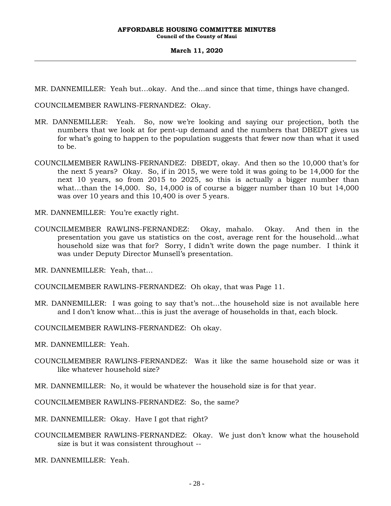**Council of the County of Maui**

#### **March 11, 2020**

MR. DANNEMILLER: Yeah but…okay. And the…and since that time, things have changed.

COUNCILMEMBER RAWLINS-FERNANDEZ: Okay.

- MR. DANNEMILLER: Yeah. So, now we're looking and saying our projection, both the numbers that we look at for pent-up demand and the numbers that DBEDT gives us for what's going to happen to the population suggests that fewer now than what it used to be.
- COUNCILMEMBER RAWLINS-FERNANDEZ: DBEDT, okay. And then so the 10,000 that's for the next 5 years? Okay. So, if in 2015, we were told it was going to be 14,000 for the next 10 years, so from 2015 to 2025, so this is actually a bigger number than what…than the 14,000. So, 14,000 is of course a bigger number than 10 but 14,000 was over 10 years and this 10,400 is over 5 years.

MR. DANNEMILLER: You're exactly right.

COUNCILMEMBER RAWLINS-FERNANDEZ: Okay, mahalo. Okay. And then in the presentation you gave us statistics on the cost, average rent for the household…what household size was that for? Sorry, I didn't write down the page number. I think it was under Deputy Director Munsell's presentation.

MR. DANNEMILLER: Yeah, that…

COUNCILMEMBER RAWLINS-FERNANDEZ: Oh okay, that was Page 11.

MR. DANNEMILLER: I was going to say that's not…the household size is not available here and I don't know what…this is just the average of households in that, each block.

COUNCILMEMBER RAWLINS-FERNANDEZ: Oh okay.

MR. DANNEMILLER: Yeah.

- COUNCILMEMBER RAWLINS-FERNANDEZ: Was it like the same household size or was it like whatever household size?
- MR. DANNEMILLER: No, it would be whatever the household size is for that year.

COUNCILMEMBER RAWLINS-FERNANDEZ: So, the same?

MR. DANNEMILLER: Okay. Have I got that right?

COUNCILMEMBER RAWLINS-FERNANDEZ: Okay. We just don't know what the household size is but it was consistent throughout --

MR. DANNEMILLER: Yeah.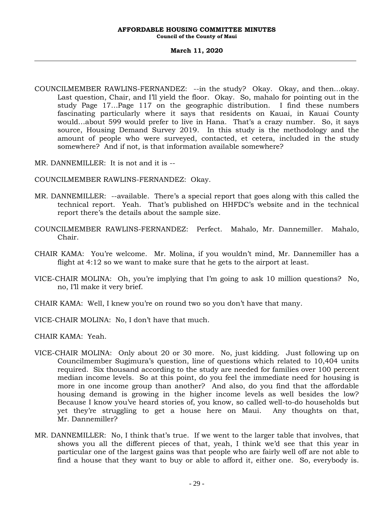**Council of the County of Maui**

#### **March 11, 2020**

COUNCILMEMBER RAWLINS-FERNANDEZ: --in the study? Okay. Okay, and then…okay. Last question, Chair, and I'll yield the floor. Okay. So, mahalo for pointing out in the study Page 17…Page 117 on the geographic distribution. I find these numbers fascinating particularly where it says that residents on Kauai, in Kauai County would…about 599 would prefer to live in Hana. That's a crazy number. So, it says source, Housing Demand Survey 2019. In this study is the methodology and the amount of people who were surveyed, contacted, et cetera, included in the study somewhere? And if not, is that information available somewhere?

MR. DANNEMILLER: It is not and it is --

COUNCILMEMBER RAWLINS-FERNANDEZ: Okay.

- MR. DANNEMILLER: --available. There's a special report that goes along with this called the technical report. Yeah. That's published on HHFDC's website and in the technical report there's the details about the sample size.
- COUNCILMEMBER RAWLINS-FERNANDEZ: Perfect. Mahalo, Mr. Dannemiller. Mahalo, Chair.
- CHAIR KAMA: You're welcome. Mr. Molina, if you wouldn't mind, Mr. Dannemiller has a flight at 4:12 so we want to make sure that he gets to the airport at least.
- VICE-CHAIR MOLINA: Oh, you're implying that I'm going to ask 10 million questions? No, no, I'll make it very brief.
- CHAIR KAMA: Well, I knew you're on round two so you don't have that many.
- VICE-CHAIR MOLINA: No, I don't have that much.

CHAIR KAMA: Yeah.

- VICE-CHAIR MOLINA: Only about 20 or 30 more. No, just kidding. Just following up on Councilmember Sugimura's question, line of questions which related to 10,404 units required. Six thousand according to the study are needed for families over 100 percent median income levels. So at this point, do you feel the immediate need for housing is more in one income group than another? And also, do you find that the affordable housing demand is growing in the higher income levels as well besides the low? Because I know you've heard stories of, you know, so called well-to-do households but yet they're struggling to get a house here on Maui. Any thoughts on that, Mr. Dannemiller?
- MR. DANNEMILLER: No, I think that's true. If we went to the larger table that involves, that shows you all the different pieces of that, yeah, I think we'd see that this year in particular one of the largest gains was that people who are fairly well off are not able to find a house that they want to buy or able to afford it, either one. So, everybody is.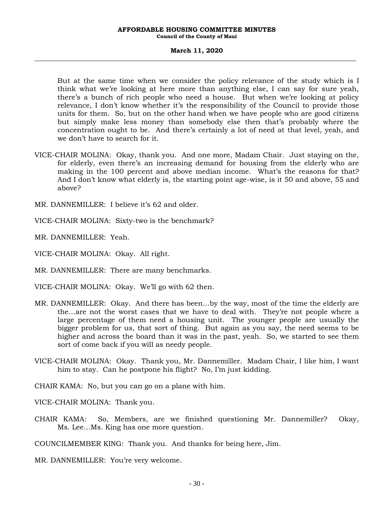**Council of the County of Maui**

#### **March 11, 2020**

But at the same time when we consider the policy relevance of the study which is I think what we're looking at here more than anything else, I can say for sure yeah, there's a bunch of rich people who need a house. But when we're looking at policy relevance, I don't know whether it's the responsibility of the Council to provide those units for them. So, but on the other hand when we have people who are good citizens but simply make less money than somebody else then that's probably where the concentration ought to be. And there's certainly a lot of need at that level, yeah, and we don't have to search for it.

- VICE-CHAIR MOLINA: Okay, thank you. And one more, Madam Chair. Just staying on the, for elderly, even there's an increasing demand for housing from the elderly who are making in the 100 percent and above median income. What's the reasons for that? And I don't know what elderly is, the starting point age-wise, is it 50 and above, 55 and above?
- MR. DANNEMILLER: I believe it's 62 and older.
- VICE-CHAIR MOLINA: Sixty-two is the benchmark?
- MR. DANNEMILLER: Yeah.
- VICE-CHAIR MOLINA: Okay. All right.
- MR. DANNEMILLER: There are many benchmarks.
- VICE-CHAIR MOLINA: Okay. We'll go with 62 then.
- MR. DANNEMILLER: Okay. And there has been…by the way, most of the time the elderly are the…are not the worst cases that we have to deal with. They're not people where a large percentage of them need a housing unit. The younger people are usually the bigger problem for us, that sort of thing. But again as you say, the need seems to be higher and across the board than it was in the past, yeah. So, we started to see them sort of come back if you will as needy people.
- VICE-CHAIR MOLINA: Okay. Thank you, Mr. Dannemiller. Madam Chair, I like him, I want him to stay. Can he postpone his flight? No, I'm just kidding.
- CHAIR KAMA: No, but you can go on a plane with him.
- VICE-CHAIR MOLINA: Thank you.
- CHAIR KAMA: So, Members, are we finished questioning Mr. Dannemiller? Okay, Ms. Lee…Ms. King has one more question.
- COUNCILMEMBER KING: Thank you. And thanks for being here, Jim.
- MR. DANNEMILLER: You're very welcome.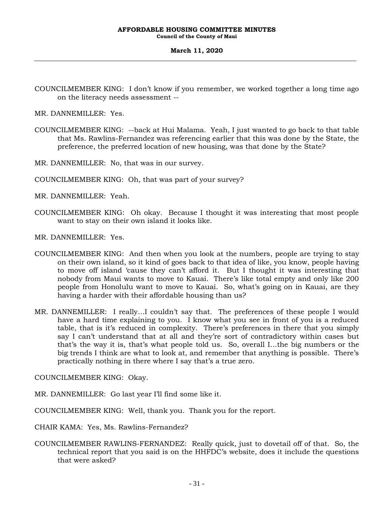**Council of the County of Maui**

### **March 11, 2020**

COUNCILMEMBER KING: I don't know if you remember, we worked together a long time ago on the literacy needs assessment --

MR. DANNEMILLER: Yes.

COUNCILMEMBER KING: --back at Hui Malama. Yeah, I just wanted to go back to that table that Ms. Rawlins-Fernandez was referencing earlier that this was done by the State, the preference, the preferred location of new housing, was that done by the State?

MR. DANNEMILLER: No, that was in our survey.

- COUNCILMEMBER KING: Oh, that was part of your survey?
- MR. DANNEMILLER: Yeah.
- COUNCILMEMBER KING: Oh okay. Because I thought it was interesting that most people want to stay on their own island it looks like.

MR. DANNEMILLER: Yes.

- COUNCILMEMBER KING: And then when you look at the numbers, people are trying to stay on their own island, so it kind of goes back to that idea of like, you know, people having to move off island 'cause they can't afford it. But I thought it was interesting that nobody from Maui wants to move to Kauai. There's like total empty and only like 200 people from Honolulu want to move to Kauai. So, what's going on in Kauai, are they having a harder with their affordable housing than us?
- MR. DANNEMILLER: I really…I couldn't say that. The preferences of these people I would have a hard time explaining to you. I know what you see in front of you is a reduced table, that is it's reduced in complexity. There's preferences in there that you simply say I can't understand that at all and they're sort of contradictory within cases but that's the way it is, that's what people told us. So, overall I…the big numbers or the big trends I think are what to look at, and remember that anything is possible. There's practically nothing in there where I say that's a true zero.

COUNCILMEMBER KING: Okay.

MR. DANNEMILLER: Go last year I'll find some like it.

COUNCILMEMBER KING: Well, thank you. Thank you for the report.

CHAIR KAMA: Yes, Ms. Rawlins-Fernandez?

COUNCILMEMBER RAWLINS-FERNANDEZ: Really quick, just to dovetail off of that. So, the technical report that you said is on the HHFDC's website, does it include the questions that were asked?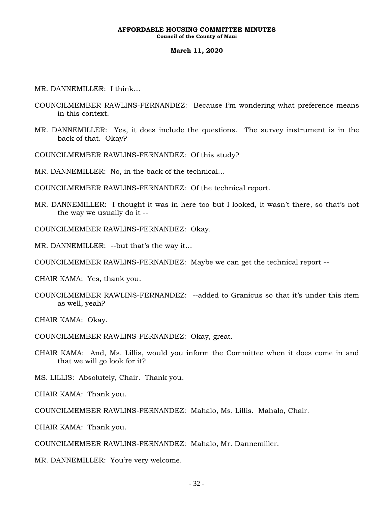#### **March 11, 2020**

MR. DANNEMILLER: I think…

- COUNCILMEMBER RAWLINS-FERNANDEZ: Because I'm wondering what preference means in this context.
- MR. DANNEMILLER: Yes, it does include the questions. The survey instrument is in the back of that. Okay?

COUNCILMEMBER RAWLINS-FERNANDEZ: Of this study?

MR. DANNEMILLER: No, in the back of the technical…

COUNCILMEMBER RAWLINS-FERNANDEZ: Of the technical report.

MR. DANNEMILLER: I thought it was in here too but I looked, it wasn't there, so that's not the way we usually do it --

COUNCILMEMBER RAWLINS-FERNANDEZ: Okay.

MR. DANNEMILLER: --but that's the way it…

COUNCILMEMBER RAWLINS-FERNANDEZ: Maybe we can get the technical report --

CHAIR KAMA: Yes, thank you.

COUNCILMEMBER RAWLINS-FERNANDEZ: --added to Granicus so that it's under this item as well, yeah?

CHAIR KAMA: Okay.

COUNCILMEMBER RAWLINS-FERNANDEZ: Okay, great.

CHAIR KAMA: And, Ms. Lillis, would you inform the Committee when it does come in and that we will go look for it?

MS. LILLIS: Absolutely, Chair. Thank you.

CHAIR KAMA: Thank you.

COUNCILMEMBER RAWLINS-FERNANDEZ: Mahalo, Ms. Lillis. Mahalo, Chair.

CHAIR KAMA: Thank you.

COUNCILMEMBER RAWLINS-FERNANDEZ: Mahalo, Mr. Dannemiller.

MR. DANNEMILLER: You're very welcome.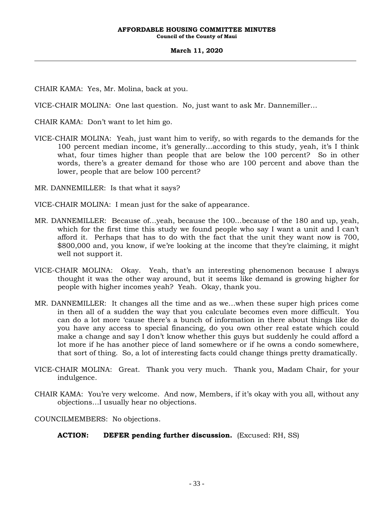**Council of the County of Maui**

#### **March 11, 2020**

CHAIR KAMA: Yes, Mr. Molina, back at you.

VICE-CHAIR MOLINA: One last question. No, just want to ask Mr. Dannemiller…

CHAIR KAMA: Don't want to let him go.

VICE-CHAIR MOLINA: Yeah, just want him to verify, so with regards to the demands for the 100 percent median income, it's generally…according to this study, yeah, it's I think what, four times higher than people that are below the 100 percent? So in other words, there's a greater demand for those who are 100 percent and above than the lower, people that are below 100 percent?

MR. DANNEMILLER: Is that what it says?

VICE-CHAIR MOLINA: I mean just for the sake of appearance.

- MR. DANNEMILLER: Because of…yeah, because the 100…because of the 180 and up, yeah, which for the first time this study we found people who say I want a unit and I can't afford it. Perhaps that has to do with the fact that the unit they want now is 700, \$800,000 and, you know, if we're looking at the income that they're claiming, it might well not support it.
- VICE-CHAIR MOLINA: Okay. Yeah, that's an interesting phenomenon because I always thought it was the other way around, but it seems like demand is growing higher for people with higher incomes yeah? Yeah. Okay, thank you.
- MR. DANNEMILLER: It changes all the time and as we…when these super high prices come in then all of a sudden the way that you calculate becomes even more difficult. You can do a lot more 'cause there's a bunch of information in there about things like do you have any access to special financing, do you own other real estate which could make a change and say I don't know whether this guys but suddenly he could afford a lot more if he has another piece of land somewhere or if he owns a condo somewhere, that sort of thing. So, a lot of interesting facts could change things pretty dramatically.
- VICE-CHAIR MOLINA: Great. Thank you very much. Thank you, Madam Chair, for your indulgence.
- CHAIR KAMA: You're very welcome. And now, Members, if it's okay with you all, without any objections…I usually hear no objections.

COUNCILMEMBERS: No objections.

**ACTION: DEFER pending further discussion.** (Excused: RH, SS)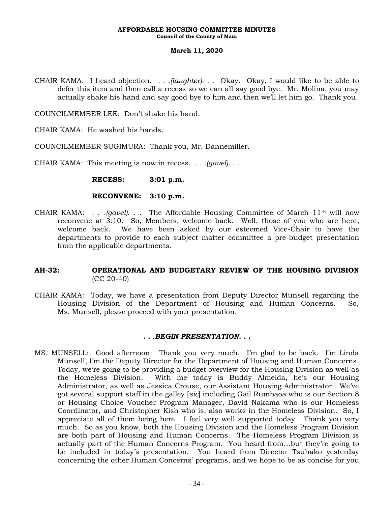### **March 11, 2020**

CHAIR KAMA: I heard objection. *. . .(laughter). . .* Okay. Okay, I would like to be able to defer this item and then call a recess so we can all say good bye. Mr. Molina, you may actually shake his hand and say good bye to him and then we'll let him go. Thank you.

COUNCILMEMBER LEE: Don't shake his hand.

CHAIR KAMA: He washed his hands.

COUNCILMEMBER SUGIMURA: Thank you, Mr. Dannemiller.

CHAIR KAMA: This meeting is now in recess. . . *.(gavel)*. . .

**RECESS: 3:01 p.m.**

### **RECONVENE: 3:10 p.m.**

CHAIR KAMA: . . *.(gavel)*. . . The Affordable Housing Committee of March 11th will now reconvene at 3:10. So, Members, welcome back. Well, those of you who are here, welcome back. We have been asked by our esteemed Vice-Chair to have the departments to provide to each subject matter committee a pre-budget presentation from the applicable departments.

## **AH-32: OPERATIONAL AND BUDGETARY REVIEW OF THE HOUSING DIVISION**  (CC 20-40)

CHAIR KAMA: Today, we have a presentation from Deputy Director Munsell regarding the Housing Division of the Department of Housing and Human Concerns. So, Ms. Munsell, please proceed with your presentation.

### *. . .BEGIN PRESENTATION. . .*

MS. MUNSELL: Good afternoon. Thank you very much. I'm glad to be back. I'm Linda Munsell, I'm the Deputy Director for the Department of Housing and Human Concerns. Today, we're going to be providing a budget overview for the Housing Division as well as the Homeless Division. With me today is Buddy Almeida, he's our Housing Administrator, as well as Jessica Crouse, our Assistant Housing Administrator. We've got several support staff in the galley [*sic*] including Gail Rumbaoa who is our Section 8 or Housing Choice Voucher Program Manager, David Nakama who is our Homeless Coordinator, and Christopher Kish who is, also works in the Homeless Division. So, I appreciate all of them being here. I feel very well supported today. Thank you very much. So as you know, both the Housing Division and the Homeless Program Division are both part of Housing and Human Concerns. The Homeless Program Division is actually part of the Human Concerns Program. You heard from…but they're going to be included in today's presentation. You heard from Director Tsuhako yesterday concerning the other Human Concerns' programs, and we hope to be as concise for you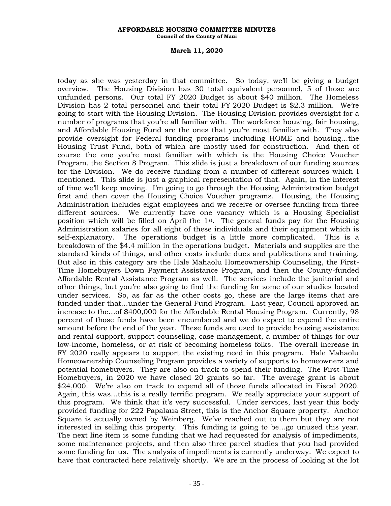**Council of the County of Maui**

#### **March 11, 2020**

today as she was yesterday in that committee. So today, we'll be giving a budget overview. The Housing Division has 30 total equivalent personnel, 5 of those are unfunded persons. Our total FY 2020 Budget is about \$40 million. The Homeless Division has 2 total personnel and their total FY 2020 Budget is \$2.3 million. We're going to start with the Housing Division. The Housing Division provides oversight for a number of programs that you're all familiar with. The workforce housing, fair housing, and Affordable Housing Fund are the ones that you're most familiar with. They also provide oversight for Federal funding programs including HOME and housing…the Housing Trust Fund, both of which are mostly used for construction. And then of course the one you're most familiar with which is the Housing Choice Voucher Program, the Section 8 Program. This slide is just a breakdown of our funding sources for the Division. We do receive funding from a number of different sources which I mentioned. This slide is just a graphical representation of that. Again, in the interest of time we'll keep moving. I'm going to go through the Housing Administration budget first and then cover the Housing Choice Voucher programs. Housing, the Housing Administration includes eight employees and we receive or oversee funding from three different sources. We currently have one vacancy which is a Housing Specialist position which will be filled on April the  $1<sup>st</sup>$ . The general funds pay for the Housing Administration salaries for all eight of these individuals and their equipment which is self-explanatory. The operations budget is a little more complicated. This is a breakdown of the \$4.4 million in the operations budget. Materials and supplies are the standard kinds of things, and other costs include dues and publications and training. But also in this category are the Hale Mahaolu Homeownership Counseling, the First-Time Homebuyers Down Payment Assistance Program, and then the County-funded Affordable Rental Assistance Program as well. The services include the janitorial and other things, but you're also going to find the funding for some of our studies located under services. So, as far as the other costs go, these are the large items that are funded under that…under the General Fund Program. Last year, Council approved an increase to the…of \$400,000 for the Affordable Rental Housing Program. Currently, 98 percent of those funds have been encumbered and we do expect to expend the entire amount before the end of the year. These funds are used to provide housing assistance and rental support, support counseling, case management, a number of things for our low-income, homeless, or at risk of becoming homeless folks. The overall increase in FY 2020 really appears to support the existing need in this program. Hale Mahaolu Homeownership Counseling Program provides a variety of supports to homeowners and potential homebuyers. They are also on track to spend their funding. The First-Time Homebuyers, in 2020 we have closed 20 grants so far. The average grant is about \$24,000. We're also on track to expend all of those funds allocated in Fiscal 2020. Again, this was…this is a really terrific program. We really appreciate your support of this program. We think that it's very successful. Under services, last year this body provided funding for 222 Papalaua Street, this is the Anchor Square property. Anchor Square is actually owned by Weinberg. We've reached out to them but they are not interested in selling this property. This funding is going to be…go unused this year. The next line item is some funding that we had requested for analysis of impediments, some maintenance projects, and then also three parcel studies that you had provided some funding for us. The analysis of impediments is currently underway. We expect to have that contracted here relatively shortly. We are in the process of looking at the lot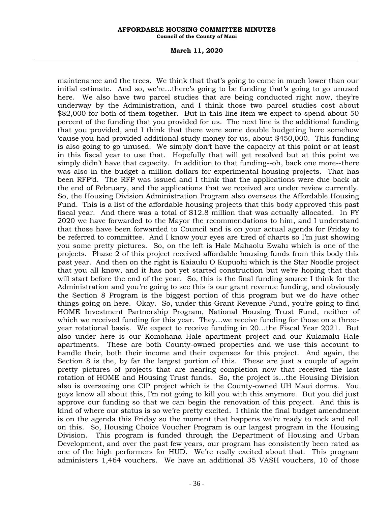**Council of the County of Maui**

#### **March 11, 2020**

maintenance and the trees. We think that that's going to come in much lower than our initial estimate. And so, we're…there's going to be funding that's going to go unused here. We also have two parcel studies that are being conducted right now, they're underway by the Administration, and I think those two parcel studies cost about \$82,000 for both of them together. But in this line item we expect to spend about 50 percent of the funding that you provided for us. The next line is the additional funding that you provided, and I think that there were some double budgeting here somehow 'cause you had provided additional study money for us, about \$450,000. This funding is also going to go unused. We simply don't have the capacity at this point or at least in this fiscal year to use that. Hopefully that will get resolved but at this point we simply didn't have that capacity. In addition to that funding--oh, back one more--there was also in the budget a million dollars for experimental housing projects. That has been RFP'd. The RFP was issued and I think that the applications were due back at the end of February, and the applications that we received are under review currently. So, the Housing Division Administration Program also oversees the Affordable Housing Fund. This is a list of the affordable housing projects that this body approved this past fiscal year. And there was a total of \$12.8 million that was actually allocated. In FY 2020 we have forwarded to the Mayor the recommendations to him, and I understand that those have been forwarded to Council and is on your actual agenda for Friday to be referred to committee. And I know your eyes are tired of charts so I'm just showing you some pretty pictures. So, on the left is Hale Mahaolu Ewalu which is one of the projects. Phase 2 of this project received affordable housing funds from this body this past year. And then on the right is Kaiaulu O Kupuohi which is the Star Noodle project that you all know, and it has not yet started construction but we're hoping that that will start before the end of the year. So, this is the final funding source I think for the Administration and you're going to see this is our grant revenue funding, and obviously the Section 8 Program is the biggest portion of this program but we do have other things going on here. Okay. So, under this Grant Revenue Fund, you're going to find HOME Investment Partnership Program, National Housing Trust Fund, neither of which we received funding for this year. They…we receive funding for those on a threeyear rotational basis. We expect to receive funding in 20…the Fiscal Year 2021. But also under here is our Komohana Hale apartment project and our Kulamalu Hale apartments. These are both County-owned properties and we use this account to handle their, both their income and their expenses for this project. And again, the Section 8 is the, by far the largest portion of this. These are just a couple of again pretty pictures of projects that are nearing completion now that received the last rotation of HOME and Housing Trust funds. So, the project is…the Housing Division also is overseeing one CIP project which is the County-owned UH Maui dorms. You guys know all about this, I'm not going to kill you with this anymore. But you did just approve our funding so that we can begin the renovation of this project. And this is kind of where our status is so we're pretty excited. I think the final budget amendment is on the agenda this Friday so the moment that happens we're ready to rock and roll on this. So, Housing Choice Voucher Program is our largest program in the Housing Division. This program is funded through the Department of Housing and Urban Development, and over the past few years, our program has consistently been rated as one of the high performers for HUD. We're really excited about that. This program administers 1,464 vouchers. We have an additional 35 VASH vouchers, 10 of those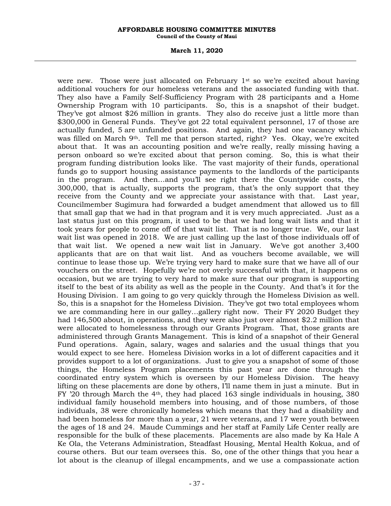**Council of the County of Maui**

#### **March 11, 2020**

were new. Those were just allocated on February  $1^{st}$  so we're excited about having additional vouchers for our homeless veterans and the associated funding with that. They also have a Family Self-Sufficiency Program with 28 participants and a Home Ownership Program with 10 participants. So, this is a snapshot of their budget. They've got almost \$26 million in grants. They also do receive just a little more than \$300,000 in General Funds. They've got 22 total equivalent personnel, 17 of those are actually funded, 5 are unfunded positions. And again, they had one vacancy which was filled on March  $9<sup>th</sup>$ . Tell me that person started, right? Yes. Okay, we're excited about that. It was an accounting position and we're really, really missing having a person onboard so we're excited about that person coming. So, this is what their program funding distribution looks like. The vast majority of their funds, operational funds go to support housing assistance payments to the landlords of the participants in the program. And then…and you'll see right there the Countywide costs, the 300,000, that is actually, supports the program, that's the only support that they receive from the County and we appreciate your assistance with that. Last year, Councilmember Sugimura had forwarded a budget amendment that allowed us to fill that small gap that we had in that program and it is very much appreciated. Just as a last status just on this program, it used to be that we had long wait lists and that it took years for people to come off of that wait list. That is no longer true. We, our last wait list was opened in 2018. We are just calling up the last of those individuals off of that wait list. We opened a new wait list in January. We've got another 3,400 applicants that are on that wait list. And as vouchers become available, we will continue to lease those up. We're trying very hard to make sure that we have all of our vouchers on the street. Hopefully we're not overly successful with that, it happens on occasion, but we are trying to very hard to make sure that our program is supporting itself to the best of its ability as well as the people in the County. And that's it for the Housing Division. I am going to go very quickly through the Homeless Division as well. So, this is a snapshot for the Homeless Division. They've got two total employees whom we are commanding here in our galley…gallery right now. Their FY 2020 Budget they had 146,500 about, in operations, and they were also just over almost \$2.2 million that were allocated to homelessness through our Grants Program. That, those grants are administered through Grants Management. This is kind of a snapshot of their General Fund operations. Again, salary, wages and salaries and the usual things that you would expect to see here. Homeless Division works in a lot of different capacities and it provides support to a lot of organizations. Just to give you a snapshot of some of those things, the Homeless Program placements this past year are done through the coordinated entry system which is overseen by our Homeless Division. The heavy lifting on these placements are done by others, I'll name them in just a minute. But in FY '20 through March the  $4<sup>th</sup>$ , they had placed 163 single individuals in housing, 380 individual family household members into housing, and of those numbers, of those individuals, 38 were chronically homeless which means that they had a disability and had been homeless for more than a year, 21 were veterans, and 17 were youth between the ages of 18 and 24. Maude Cummings and her staff at Family Life Center really are responsible for the bulk of these placements. Placements are also made by Ka Hale A Ke Ola, the Veterans Administration, Steadfast Housing, Mental Health Kokua, and of course others. But our team oversees this. So, one of the other things that you hear a lot about is the cleanup of illegal encampments, and we use a compassionate action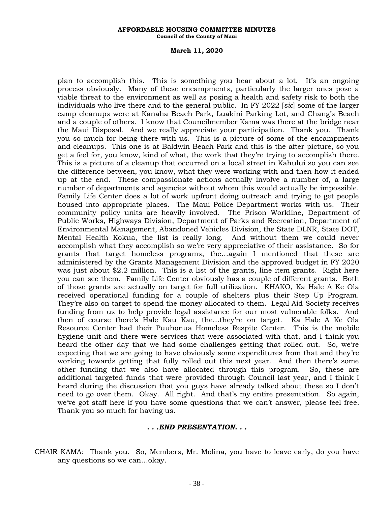**Council of the County of Maui**

#### **March 11, 2020**

plan to accomplish this. This is something you hear about a lot. It's an ongoing process obviously. Many of these encampments, particularly the larger ones pose a viable threat to the environment as well as posing a health and safety risk to both the individuals who live there and to the general public. In FY 2022 [*sic*] some of the larger camp cleanups were at Kanaha Beach Park, Luakini Parking Lot, and Chang's Beach and a couple of others. I know that Councilmember Kama was there at the bridge near the Maui Disposal. And we really appreciate your participation. Thank you. Thank you so much for being there with us. This is a picture of some of the encampments and cleanups. This one is at Baldwin Beach Park and this is the after picture, so you get a feel for, you know, kind of what, the work that they're trying to accomplish there. This is a picture of a cleanup that occurred on a local street in Kahului so you can see the difference between, you know, what they were working with and then how it ended up at the end. These compassionate actions actually involve a number of, a large number of departments and agencies without whom this would actually be impossible. Family Life Center does a lot of work upfront doing outreach and trying to get people housed into appropriate places. The Maui Police Department works with us. Their community policy units are heavily involved. The Prison Workline, Department of Public Works, Highways Division, Department of Parks and Recreation, Department of Environmental Management, Abandoned Vehicles Division, the State DLNR, State DOT, Mental Health Kokua, the list is really long. And without them we could never accomplish what they accomplish so we're very appreciative of their assistance. So for grants that target homeless programs, the…again I mentioned that these are administered by the Grants Management Division and the approved budget in FY 2020 was just about \$2.2 million. This is a list of the grants, line item grants. Right here you can see them. Family Life Center obviously has a couple of different grants. Both of those grants are actually on target for full utilization. KHAKO, Ka Hale A Ke Ola received operational funding for a couple of shelters plus their Step Up Program. They're also on target to spend the money allocated to them. Legal Aid Society receives funding from us to help provide legal assistance for our most vulnerable folks. And then of course there's Hale Kau Kau, the…they're on target. Ka Hale A Ke Ola Resource Center had their Puuhonua Homeless Respite Center. This is the mobile hygiene unit and there were services that were associated with that, and I think you heard the other day that we had some challenges getting that rolled out. So, we're expecting that we are going to have obviously some expenditures from that and they're working towards getting that fully rolled out this next year. And then there's some other funding that we also have allocated through this program. So, these are additional targeted funds that were provided through Council last year, and I think I heard during the discussion that you guys have already talked about these so I don't need to go over them. Okay. All right. And that's my entire presentation. So again, we've got staff here if you have some questions that we can't answer, please feel free. Thank you so much for having us.

### *. . .END PRESENTATION. . .*

CHAIR KAMA: Thank you. So, Members, Mr. Molina, you have to leave early, do you have any questions so we can…okay.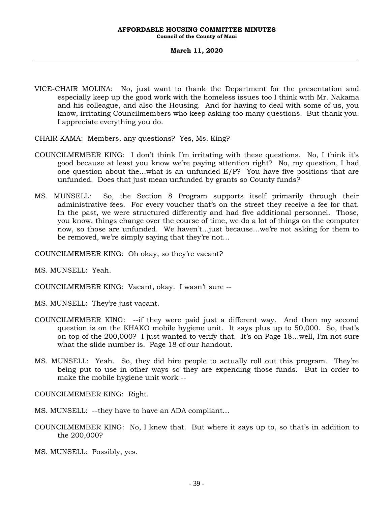**Council of the County of Maui**

#### **March 11, 2020**

VICE-CHAIR MOLINA: No, just want to thank the Department for the presentation and especially keep up the good work with the homeless issues too I think with Mr. Nakama and his colleague, and also the Housing. And for having to deal with some of us, you know, irritating Councilmembers who keep asking too many questions. But thank you. I appreciate everything you do.

CHAIR KAMA: Members, any questions? Yes, Ms. King?

- COUNCILMEMBER KING: I don't think I'm irritating with these questions. No, I think it's good because at least you know we're paying attention right? No, my question, I had one question about the…what is an unfunded E/P? You have five positions that are unfunded. Does that just mean unfunded by grants so County funds?
- MS. MUNSELL: So, the Section 8 Program supports itself primarily through their administrative fees. For every voucher that's on the street they receive a fee for that. In the past, we were structured differently and had five additional personnel. Those, you know, things change over the course of time, we do a lot of things on the computer now, so those are unfunded. We haven't…just because…we're not asking for them to be removed, we're simply saying that they're not…

COUNCILMEMBER KING: Oh okay, so they're vacant?

MS. MUNSELL: Yeah.

COUNCILMEMBER KING: Vacant, okay. I wasn't sure --

MS. MUNSELL: They're just vacant.

- COUNCILMEMBER KING: --if they were paid just a different way. And then my second question is on the KHAKO mobile hygiene unit. It says plus up to 50,000. So, that's on top of the 200,000? I just wanted to verify that. It's on Page 18…well, I'm not sure what the slide number is. Page 18 of our handout.
- MS. MUNSELL: Yeah. So, they did hire people to actually roll out this program. They're being put to use in other ways so they are expending those funds. But in order to make the mobile hygiene unit work --

COUNCILMEMBER KING: Right.

MS. MUNSELL: --they have to have an ADA compliant…

COUNCILMEMBER KING: No, I knew that. But where it says up to, so that's in addition to the 200,000?

MS. MUNSELL: Possibly, yes.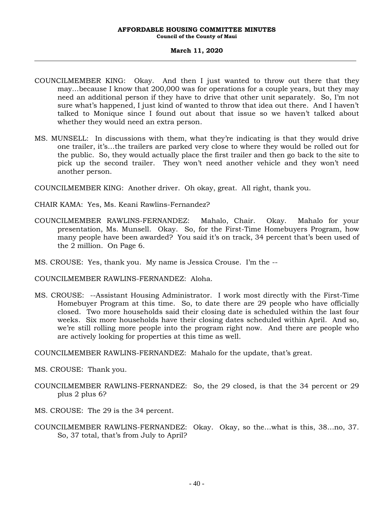### **March 11, 2020**

- COUNCILMEMBER KING: Okay. And then I just wanted to throw out there that they may…because I know that 200,000 was for operations for a couple years, but they may need an additional person if they have to drive that other unit separately. So, I'm not sure what's happened, I just kind of wanted to throw that idea out there. And I haven't talked to Monique since I found out about that issue so we haven't talked about whether they would need an extra person.
- MS. MUNSELL: In discussions with them, what they're indicating is that they would drive one trailer, it's…the trailers are parked very close to where they would be rolled out for the public. So, they would actually place the first trailer and then go back to the site to pick up the second trailer. They won't need another vehicle and they won't need another person.

COUNCILMEMBER KING: Another driver. Oh okay, great. All right, thank you.

- CHAIR KAMA: Yes, Ms. Keani Rawlins-Fernandez?
- COUNCILMEMBER RAWLINS-FERNANDEZ: Mahalo, Chair. Okay. Mahalo for your presentation, Ms. Munsell. Okay. So, for the First-Time Homebuyers Program, how many people have been awarded? You said it's on track, 34 percent that's been used of the 2 million. On Page 6.
- MS. CROUSE: Yes, thank you. My name is Jessica Crouse. I'm the --

COUNCILMEMBER RAWLINS-FERNANDEZ: Aloha.

MS. CROUSE: --Assistant Housing Administrator. I work most directly with the First-Time Homebuyer Program at this time. So, to date there are 29 people who have officially closed. Two more households said their closing date is scheduled within the last four weeks. Six more households have their closing dates scheduled within April. And so, we're still rolling more people into the program right now. And there are people who are actively looking for properties at this time as well.

COUNCILMEMBER RAWLINS-FERNANDEZ: Mahalo for the update, that's great.

- MS. CROUSE: Thank you.
- COUNCILMEMBER RAWLINS-FERNANDEZ: So, the 29 closed, is that the 34 percent or 29 plus 2 plus 6?
- MS. CROUSE: The 29 is the 34 percent.
- COUNCILMEMBER RAWLINS-FERNANDEZ: Okay. Okay, so the…what is this, 38…no, 37. So, 37 total, that's from July to April?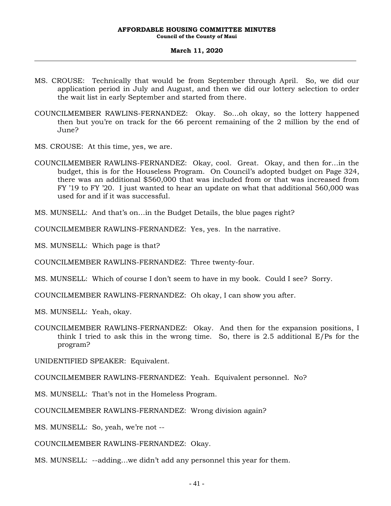**Council of the County of Maui**

#### **March 11, 2020**

- MS. CROUSE: Technically that would be from September through April. So, we did our application period in July and August, and then we did our lottery selection to order the wait list in early September and started from there.
- COUNCILMEMBER RAWLINS-FERNANDEZ: Okay. So…oh okay, so the lottery happened then but you're on track for the 66 percent remaining of the 2 million by the end of June?
- MS. CROUSE: At this time, yes, we are.
- COUNCILMEMBER RAWLINS-FERNANDEZ: Okay, cool. Great. Okay, and then for…in the budget, this is for the Houseless Program. On Council's adopted budget on Page 324, there was an additional \$560,000 that was included from or that was increased from FY '19 to FY '20. I just wanted to hear an update on what that additional 560,000 was used for and if it was successful.

MS. MUNSELL: And that's on…in the Budget Details, the blue pages right?

COUNCILMEMBER RAWLINS-FERNANDEZ: Yes, yes. In the narrative.

MS. MUNSELL: Which page is that?

COUNCILMEMBER RAWLINS-FERNANDEZ: Three twenty-four.

MS. MUNSELL: Which of course I don't seem to have in my book. Could I see? Sorry.

COUNCILMEMBER RAWLINS-FERNANDEZ: Oh okay, I can show you after.

MS. MUNSELL: Yeah, okay.

COUNCILMEMBER RAWLINS-FERNANDEZ: Okay. And then for the expansion positions, I think I tried to ask this in the wrong time. So, there is 2.5 additional E/Ps for the program?

UNIDENTIFIED SPEAKER: Equivalent.

COUNCILMEMBER RAWLINS-FERNANDEZ: Yeah. Equivalent personnel. No?

MS. MUNSELL: That's not in the Homeless Program.

COUNCILMEMBER RAWLINS-FERNANDEZ: Wrong division again?

MS. MUNSELL: So, yeah, we're not --

COUNCILMEMBER RAWLINS-FERNANDEZ: Okay.

MS. MUNSELL: --adding…we didn't add any personnel this year for them.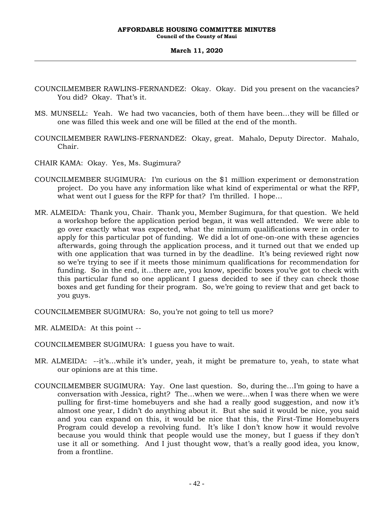### **March 11, 2020**

- COUNCILMEMBER RAWLINS-FERNANDEZ: Okay. Okay. Did you present on the vacancies? You did? Okay. That's it.
- MS. MUNSELL: Yeah. We had two vacancies, both of them have been…they will be filled or one was filled this week and one will be filled at the end of the month.
- COUNCILMEMBER RAWLINS-FERNANDEZ: Okay, great. Mahalo, Deputy Director. Mahalo, Chair.
- CHAIR KAMA: Okay. Yes, Ms. Sugimura?
- COUNCILMEMBER SUGIMURA: I'm curious on the \$1 million experiment or demonstration project. Do you have any information like what kind of experimental or what the RFP, what went out I guess for the RFP for that? I'm thrilled. I hope…
- MR. ALMEIDA: Thank you, Chair. Thank you, Member Sugimura, for that question. We held a workshop before the application period began, it was well attended. We were able to go over exactly what was expected, what the minimum qualifications were in order to apply for this particular pot of funding. We did a lot of one-on-one with these agencies afterwards, going through the application process, and it turned out that we ended up with one application that was turned in by the deadline. It's being reviewed right now so we're trying to see if it meets those minimum qualifications for recommendation for funding. So in the end, it…there are, you know, specific boxes you've got to check with this particular fund so one applicant I guess decided to see if they can check those boxes and get funding for their program. So, we're going to review that and get back to you guys.

COUNCILMEMBER SUGIMURA: So, you're not going to tell us more?

- MR. ALMEIDA: At this point --
- COUNCILMEMBER SUGIMURA: I guess you have to wait.
- MR. ALMEIDA: --it's…while it's under, yeah, it might be premature to, yeah, to state what our opinions are at this time.
- COUNCILMEMBER SUGIMURA: Yay. One last question. So, during the…I'm going to have a conversation with Jessica, right? The…when we were…when I was there when we were pulling for first-time homebuyers and she had a really good suggestion, and now it's almost one year, I didn't do anything about it. But she said it would be nice, you said and you can expand on this, it would be nice that this, the First-Time Homebuyers Program could develop a revolving fund. It's like I don't know how it would revolve because you would think that people would use the money, but I guess if they don't use it all or something. And I just thought wow, that's a really good idea, you know, from a frontline.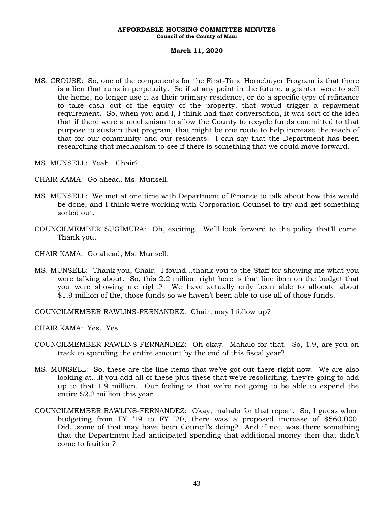**Council of the County of Maui**

#### **March 11, 2020**

- MS. CROUSE: So, one of the components for the First-Time Homebuyer Program is that there is a lien that runs in perpetuity. So if at any point in the future, a grantee were to sell the home, no longer use it as their primary residence, or do a specific type of refinance to take cash out of the equity of the property, that would trigger a repayment requirement. So, when you and I, I think had that conversation, it was sort of the idea that if there were a mechanism to allow the County to recycle funds committed to that purpose to sustain that program, that might be one route to help increase the reach of that for our community and our residents. I can say that the Department has been researching that mechanism to see if there is something that we could move forward.
- MS. MUNSELL: Yeah. Chair?
- CHAIR KAMA: Go ahead, Ms. Munsell.
- MS. MUNSELL: We met at one time with Department of Finance to talk about how this would be done, and I think we're working with Corporation Counsel to try and get something sorted out.
- COUNCILMEMBER SUGIMURA: Oh, exciting. We'll look forward to the policy that'll come. Thank you.
- CHAIR KAMA: Go ahead, Ms. Munsell.
- MS. MUNSELL: Thank you, Chair. I found…thank you to the Staff for showing me what you were talking about. So, this 2.2 million right here is that line item on the budget that you were showing me right? We have actually only been able to allocate about \$1.9 million of the, those funds so we haven't been able to use all of those funds.

COUNCILMEMBER RAWLINS-FERNANDEZ: Chair, may I follow up?

CHAIR KAMA: Yes. Yes.

- COUNCILMEMBER RAWLINS-FERNANDEZ: Oh okay. Mahalo for that. So, 1.9, are you on track to spending the entire amount by the end of this fiscal year?
- MS. MUNSELL: So, these are the line items that we've got out there right now. We are also looking at…if you add all of these plus these that we're resoliciting, they're going to add up to that 1.9 million. Our feeling is that we're not going to be able to expend the entire \$2.2 million this year.
- COUNCILMEMBER RAWLINS-FERNANDEZ: Okay, mahalo for that report. So, I guess when budgeting from FY '19 to FY '20, there was a proposed increase of \$560,000. Did…some of that may have been Council's doing? And if not, was there something that the Department had anticipated spending that additional money then that didn't come to fruition?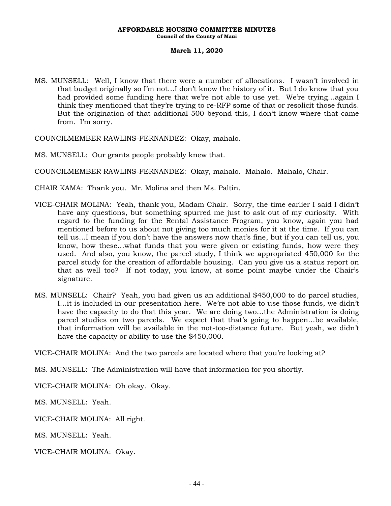### **March 11, 2020**

MS. MUNSELL: Well, I know that there were a number of allocations. I wasn't involved in that budget originally so I'm not…I don't know the history of it. But I do know that you had provided some funding here that we're not able to use yet. We're trying…again I think they mentioned that they're trying to re-RFP some of that or resolicit those funds. But the origination of that additional 500 beyond this, I don't know where that came from. I'm sorry.

COUNCILMEMBER RAWLINS-FERNANDEZ: Okay, mahalo.

- MS. MUNSELL: Our grants people probably knew that.
- COUNCILMEMBER RAWLINS-FERNANDEZ: Okay, mahalo. Mahalo. Mahalo, Chair.

CHAIR KAMA: Thank you. Mr. Molina and then Ms. Paltin.

- VICE-CHAIR MOLINA: Yeah, thank you, Madam Chair. Sorry, the time earlier I said I didn't have any questions, but something spurred me just to ask out of my curiosity. With regard to the funding for the Rental Assistance Program, you know, again you had mentioned before to us about not giving too much monies for it at the time. If you can tell us…I mean if you don't have the answers now that's fine, but if you can tell us, you know, how these…what funds that you were given or existing funds, how were they used. And also, you know, the parcel study, I think we appropriated 450,000 for the parcel study for the creation of affordable housing. Can you give us a status report on that as well too? If not today, you know, at some point maybe under the Chair's signature.
- MS. MUNSELL: Chair? Yeah, you had given us an additional \$450,000 to do parcel studies, I…it is included in our presentation here. We're not able to use those funds, we didn't have the capacity to do that this year. We are doing two…the Administration is doing parcel studies on two parcels. We expect that that's going to happen…be available, that information will be available in the not-too-distance future. But yeah, we didn't have the capacity or ability to use the \$450,000.

VICE-CHAIR MOLINA: And the two parcels are located where that you're looking at?

MS. MUNSELL: The Administration will have that information for you shortly.

VICE-CHAIR MOLINA: Oh okay. Okay.

MS. MUNSELL: Yeah.

VICE-CHAIR MOLINA: All right.

MS. MUNSELL: Yeah.

VICE-CHAIR MOLINA: Okay.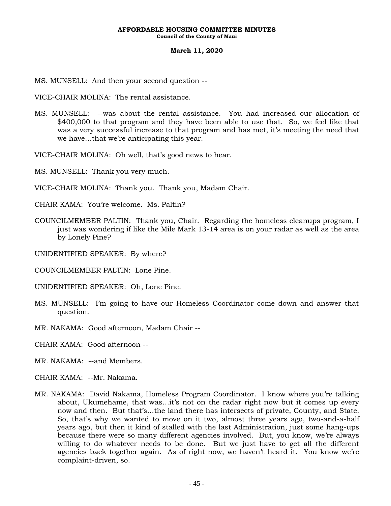**Council of the County of Maui**

#### **March 11, 2020**

MS. MUNSELL: And then your second question --

VICE-CHAIR MOLINA: The rental assistance.

MS. MUNSELL: --was about the rental assistance. You had increased our allocation of \$400,000 to that program and they have been able to use that. So, we feel like that was a very successful increase to that program and has met, it's meeting the need that we have…that we're anticipating this year.

VICE-CHAIR MOLINA: Oh well, that's good news to hear.

MS. MUNSELL: Thank you very much.

- VICE-CHAIR MOLINA: Thank you. Thank you, Madam Chair.
- CHAIR KAMA: You're welcome. Ms. Paltin?
- COUNCILMEMBER PALTIN: Thank you, Chair. Regarding the homeless cleanups program, I just was wondering if like the Mile Mark 13-14 area is on your radar as well as the area by Lonely Pine?

UNIDENTIFIED SPEAKER: By where?

COUNCILMEMBER PALTIN: Lone Pine.

UNIDENTIFIED SPEAKER: Oh, Lone Pine.

- MS. MUNSELL: I'm going to have our Homeless Coordinator come down and answer that question.
- MR. NAKAMA: Good afternoon, Madam Chair --

CHAIR KAMA: Good afternoon --

- MR. NAKAMA: --and Members.
- CHAIR KAMA: --Mr. Nakama.
- MR. NAKAMA: David Nakama, Homeless Program Coordinator. I know where you're talking about, Ukumehame, that was…it's not on the radar right now but it comes up every now and then. But that's…the land there has intersects of private, County, and State. So, that's why we wanted to move on it two, almost three years ago, two-and-a-half years ago, but then it kind of stalled with the last Administration, just some hang-ups because there were so many different agencies involved. But, you know, we're always willing to do whatever needs to be done. But we just have to get all the different agencies back together again. As of right now, we haven't heard it. You know we're complaint-driven, so.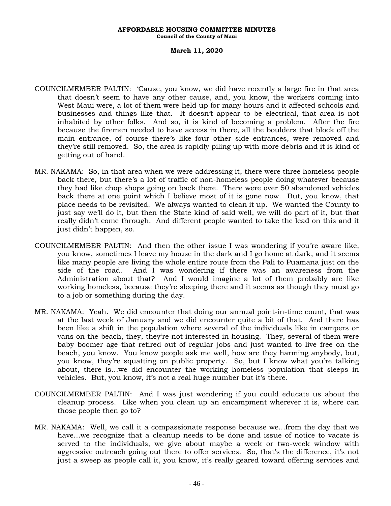#### **March 11, 2020**

- COUNCILMEMBER PALTIN: 'Cause, you know, we did have recently a large fire in that area that doesn't seem to have any other cause, and, you know, the workers coming into West Maui were, a lot of them were held up for many hours and it affected schools and businesses and things like that. It doesn't appear to be electrical, that area is not inhabited by other folks. And so, it is kind of becoming a problem. After the fire because the firemen needed to have access in there, all the boulders that block off the main entrance, of course there's like four other side entrances, were removed and they're still removed. So, the area is rapidly piling up with more debris and it is kind of getting out of hand.
- MR. NAKAMA: So, in that area when we were addressing it, there were three homeless people back there, but there's a lot of traffic of non-homeless people doing whatever because they had like chop shops going on back there. There were over 50 abandoned vehicles back there at one point which I believe most of it is gone now. But, you know, that place needs to be revisited. We always wanted to clean it up. We wanted the County to just say we'll do it, but then the State kind of said well, we will do part of it, but that really didn't come through. And different people wanted to take the lead on this and it just didn't happen, so.
- COUNCILMEMBER PALTIN: And then the other issue I was wondering if you're aware like, you know, sometimes I leave my house in the dark and I go home at dark, and it seems like many people are living the whole entire route from the Pali to Puamana just on the side of the road. And I was wondering if there was an awareness from the Administration about that? And I would imagine a lot of them probably are like working homeless, because they're sleeping there and it seems as though they must go to a job or something during the day.
- MR. NAKAMA: Yeah. We did encounter that doing our annual point-in-time count, that was at the last week of January and we did encounter quite a bit of that. And there has been like a shift in the population where several of the individuals like in campers or vans on the beach, they, they're not interested in housing. They, several of them were baby boomer age that retired out of regular jobs and just wanted to live free on the beach, you know. You know people ask me well, how are they harming anybody, but, you know, they're squatting on public property. So, but I know what you're talking about, there is…we did encounter the working homeless population that sleeps in vehicles. But, you know, it's not a real huge number but it's there.
- COUNCILMEMBER PALTIN: And I was just wondering if you could educate us about the cleanup process. Like when you clean up an encampment wherever it is, where can those people then go to?
- MR. NAKAMA: Well, we call it a compassionate response because we…from the day that we have…we recognize that a cleanup needs to be done and issue of notice to vacate is served to the individuals, we give about maybe a week or two-week window with aggressive outreach going out there to offer services. So, that's the difference, it's not just a sweep as people call it, you know, it's really geared toward offering services and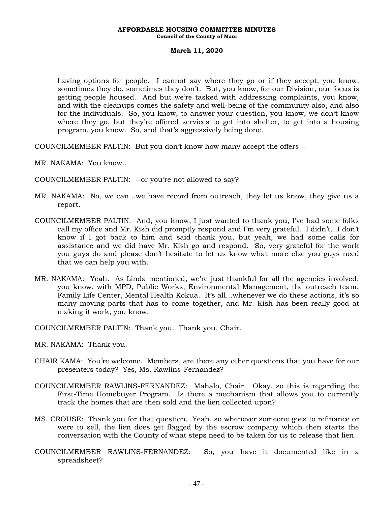#### **March 11, 2020**

having options for people. I cannot say where they go or if they accept, you know, sometimes they do, sometimes they don't. But, you know, for our Division, our focus is getting people housed. And but we're tasked with addressing complaints, you know, and with the cleanups comes the safety and well-being of the community also, and also for the individuals. So, you know, to answer your question, you know, we don't know where they go, but they're offered services to get into shelter, to get into a housing program, you know. So, and that's aggressively being done.

COUNCILMEMBER PALTIN: But you don't know how many accept the offers --

- MR. NAKAMA: You know…
- COUNCILMEMBER PALTIN: --or you're not allowed to say?
- MR. NAKAMA: No, we can…we have record from outreach, they let us know, they give us a report.
- COUNCILMEMBER PALTIN: And, you know, I just wanted to thank you, I've had some folks call my office and Mr. Kish did promptly respond and I'm very grateful. I didn't…I don't know if I got back to him and said thank you, but yeah, we had some calls for assistance and we did have Mr. Kish go and respond. So, very grateful for the work you guys do and please don't hesitate to let us know what more else you guys need that we can help you with.
- MR. NAKAMA: Yeah. As Linda mentioned, we're just thankful for all the agencies involved, you know, with MPD, Public Works, Environmental Management, the outreach team, Family Life Center, Mental Health Kokua. It's all…whenever we do these actions, it's so many moving parts that has to come together, and Mr. Kish has been really good at making it work, you know.
- COUNCILMEMBER PALTIN: Thank you. Thank you, Chair.
- MR. NAKAMA: Thank you.
- CHAIR KAMA: You're welcome. Members, are there any other questions that you have for our presenters today? Yes, Ms. Rawlins-Fernandez?
- COUNCILMEMBER RAWLINS-FERNANDEZ: Mahalo, Chair. Okay, so this is regarding the First-Time Homebuyer Program. Is there a mechanism that allows you to currently track the homes that are then sold and the lien collected upon?
- MS. CROUSE: Thank you for that question. Yeah, so whenever someone goes to refinance or were to sell, the lien does get flagged by the escrow company which then starts the conversation with the County of what steps need to be taken for us to release that lien.
- COUNCILMEMBER RAWLINS-FERNANDEZ: So, you have it documented like in a spreadsheet?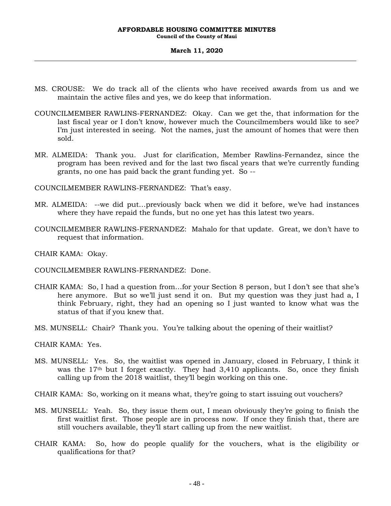**Council of the County of Maui**

#### **March 11, 2020**

- MS. CROUSE: We do track all of the clients who have received awards from us and we maintain the active files and yes, we do keep that information.
- COUNCILMEMBER RAWLINS-FERNANDEZ: Okay. Can we get the, that information for the last fiscal year or I don't know, however much the Councilmembers would like to see? I'm just interested in seeing. Not the names, just the amount of homes that were then sold.
- MR. ALMEIDA: Thank you. Just for clarification, Member Rawlins-Fernandez, since the program has been revived and for the last two fiscal years that we're currently funding grants, no one has paid back the grant funding yet. So --

COUNCILMEMBER RAWLINS-FERNANDEZ: That's easy.

- MR. ALMEIDA: --we did put…previously back when we did it before, we've had instances where they have repaid the funds, but no one yet has this latest two years.
- COUNCILMEMBER RAWLINS-FERNANDEZ: Mahalo for that update. Great, we don't have to request that information.

CHAIR KAMA: Okay.

COUNCILMEMBER RAWLINS-FERNANDEZ: Done.

- CHAIR KAMA: So, I had a question from…for your Section 8 person, but I don't see that she's here anymore. But so we'll just send it on. But my question was they just had a, I think February, right, they had an opening so I just wanted to know what was the status of that if you knew that.
- MS. MUNSELL: Chair? Thank you. You're talking about the opening of their waitlist?

CHAIR KAMA: Yes.

MS. MUNSELL: Yes. So, the waitlist was opened in January, closed in February, I think it was the  $17<sup>th</sup>$  but I forget exactly. They had  $3,410$  applicants. So, once they finish calling up from the 2018 waitlist, they'll begin working on this one.

CHAIR KAMA: So, working on it means what, they're going to start issuing out vouchers?

- MS. MUNSELL: Yeah. So, they issue them out, I mean obviously they're going to finish the first waitlist first. Those people are in process now. If once they finish that, there are still vouchers available, they'll start calling up from the new waitlist.
- CHAIR KAMA: So, how do people qualify for the vouchers, what is the eligibility or qualifications for that?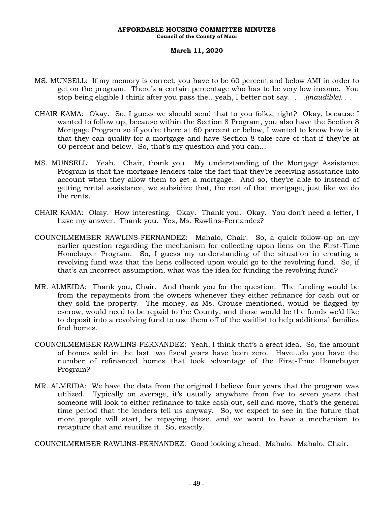**Council of the County of Maui**

### **March 11, 2020**

- MS. MUNSELL: If my memory is correct, you have to be 60 percent and below AMI in order to get on the program. There's a certain percentage who has to be very low income. You stop being eligible I think after you pass the…yeah, I better not say. *. . .(inaudible). . .*
- CHAIR KAMA: Okay. So, I guess we should send that to you folks, right? Okay, because I wanted to follow up, because within the Section 8 Program, you also have the Section 8 Mortgage Program so if you're there at 60 percent or below, I wanted to know how is it that they can qualify for a mortgage and have Section 8 take care of that if they're at 60 percent and below. So, that's my question and you can…
- MS. MUNSELL: Yeah. Chair, thank you. My understanding of the Mortgage Assistance Program is that the mortgage lenders take the fact that they're receiving assistance into account when they allow them to get a mortgage. And so, they're able to instead of getting rental assistance, we subsidize that, the rest of that mortgage, just like we do the rents.
- CHAIR KAMA: Okay. How interesting. Okay. Thank you. Okay. You don't need a letter, I have my answer. Thank you. Yes, Ms. Rawlins-Fernandez?
- COUNCILMEMBER RAWLINS-FERNANDEZ: Mahalo, Chair. So, a quick follow-up on my earlier question regarding the mechanism for collecting upon liens on the First-Time Homebuyer Program. So, I guess my understanding of the situation in creating a revolving fund was that the liens collected upon would go to the revolving fund. So, if that's an incorrect assumption, what was the idea for funding the revolving fund?
- MR. ALMEIDA: Thank you, Chair. And thank you for the question. The funding would be from the repayments from the owners whenever they either refinance for cash out or they sold the property. The money, as Ms. Crouse mentioned, would be flagged by escrow, would need to be repaid to the County, and those would be the funds we'd like to deposit into a revolving fund to use them off of the waitlist to help additional families find homes.
- COUNCILMEMBER RAWLINS-FERNANDEZ: Yeah, I think that's a great idea. So, the amount of homes sold in the last two fiscal years have been zero. Have…do you have the number of refinanced homes that took advantage of the First-Time Homebuyer Program?
- MR. ALMEIDA: We have the data from the original I believe four years that the program was utilized. Typically on average, it's usually anywhere from five to seven years that someone will look to either refinance to take cash out, sell and move, that's the general time period that the lenders tell us anyway. So, we expect to see in the future that more people will start, be repaying these, and we want to have a mechanism to recapture that and reutilize it. So, exactly.

COUNCILMEMBER RAWLINS-FERNANDEZ: Good looking ahead. Mahalo. Mahalo, Chair.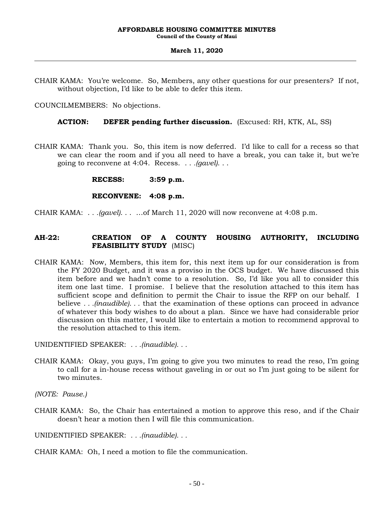### **March 11, 2020**

CHAIR KAMA: You're welcome. So, Members, any other questions for our presenters? If not, without objection, I'd like to be able to defer this item.

COUNCILMEMBERS: No objections.

## **ACTION: DEFER pending further discussion.** (Excused: RH, KTK, AL, SS)

CHAIR KAMA: Thank you. So, this item is now deferred. I'd like to call for a recess so that we can clear the room and if you all need to have a break, you can take it, but we're going to reconvene at 4:04. Recess. . . *.(gavel)*. . .

**RECESS: 3:59 p.m.**

### **RECONVENE: 4:08 p.m.**

CHAIR KAMA: . . *.(gavel)*. . . …of March 11, 2020 will now reconvene at 4:08 p.m.

# **AH-22: CREATION OF A COUNTY HOUSING AUTHORITY, INCLUDING FEASIBILITY STUDY** (MISC)

CHAIR KAMA: Now, Members, this item for, this next item up for our consideration is from the FY 2020 Budget, and it was a proviso in the OCS budget. We have discussed this item before and we hadn't come to a resolution. So, I'd like you all to consider this item one last time. I promise. I believe that the resolution attached to this item has sufficient scope and definition to permit the Chair to issue the RFP on our behalf. I believe *. . .(inaudible). . .* that the examination of these options can proceed in advance of whatever this body wishes to do about a plan. Since we have had considerable prior discussion on this matter, I would like to entertain a motion to recommend approval to the resolution attached to this item.

UNIDENTIFIED SPEAKER: *. . .(inaudible). . .*

CHAIR KAMA: Okay, you guys, I'm going to give you two minutes to read the reso, I'm going to call for a in-house recess without gaveling in or out so I'm just going to be silent for two minutes.

*(NOTE: Pause.)*

CHAIR KAMA: So, the Chair has entertained a motion to approve this reso, and if the Chair doesn't hear a motion then I will file this communication.

UNIDENTIFIED SPEAKER: *. . .(inaudible). . .*

CHAIR KAMA: Oh, I need a motion to file the communication.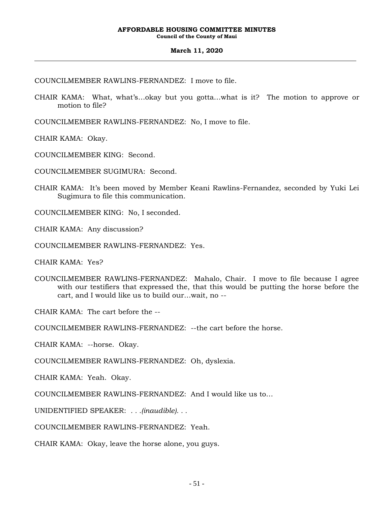**Council of the County of Maui**

### **March 11, 2020**

COUNCILMEMBER RAWLINS-FERNANDEZ: I move to file.

- CHAIR KAMA: What, what's…okay but you gotta…what is it? The motion to approve or motion to file?
- COUNCILMEMBER RAWLINS-FERNANDEZ: No, I move to file.

CHAIR KAMA: Okay.

COUNCILMEMBER KING: Second.

COUNCILMEMBER SUGIMURA: Second.

CHAIR KAMA: It's been moved by Member Keani Rawlins-Fernandez, seconded by Yuki Lei Sugimura to file this communication.

COUNCILMEMBER KING: No, I seconded.

CHAIR KAMA: Any discussion?

COUNCILMEMBER RAWLINS-FERNANDEZ: Yes.

CHAIR KAMA: Yes?

COUNCILMEMBER RAWLINS-FERNANDEZ: Mahalo, Chair. I move to file because I agree with our testifiers that expressed the, that this would be putting the horse before the cart, and I would like us to build our…wait, no --

CHAIR KAMA: The cart before the --

COUNCILMEMBER RAWLINS-FERNANDEZ: --the cart before the horse.

CHAIR KAMA: --horse. Okay.

COUNCILMEMBER RAWLINS-FERNANDEZ: Oh, dyslexia.

CHAIR KAMA: Yeah. Okay.

COUNCILMEMBER RAWLINS-FERNANDEZ: And I would like us to…

UNIDENTIFIED SPEAKER: *. . .(inaudible). . .*

COUNCILMEMBER RAWLINS-FERNANDEZ: Yeah.

CHAIR KAMA: Okay, leave the horse alone, you guys.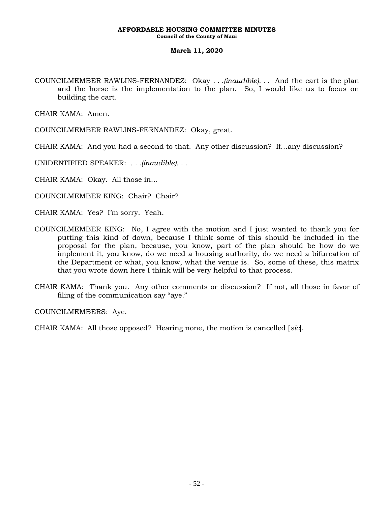### **March 11, 2020**

COUNCILMEMBER RAWLINS-FERNANDEZ: Okay *. . .(inaudible). . .* And the cart is the plan and the horse is the implementation to the plan. So, I would like us to focus on building the cart.

CHAIR KAMA: Amen.

COUNCILMEMBER RAWLINS-FERNANDEZ: Okay, great.

CHAIR KAMA: And you had a second to that. Any other discussion? If…any discussion?

UNIDENTIFIED SPEAKER: *. . .(inaudible). . .*

CHAIR KAMA: Okay. All those in…

COUNCILMEMBER KING: Chair? Chair?

CHAIR KAMA: Yes? I'm sorry. Yeah.

- COUNCILMEMBER KING: No, I agree with the motion and I just wanted to thank you for putting this kind of down, because I think some of this should be included in the proposal for the plan, because, you know, part of the plan should be how do we implement it, you know, do we need a housing authority, do we need a bifurcation of the Department or what, you know, what the venue is. So, some of these, this matrix that you wrote down here I think will be very helpful to that process.
- CHAIR KAMA: Thank you. Any other comments or discussion? If not, all those in favor of filing of the communication say "aye."

COUNCILMEMBERS: Aye.

CHAIR KAMA: All those opposed? Hearing none, the motion is cancelled [*sic*].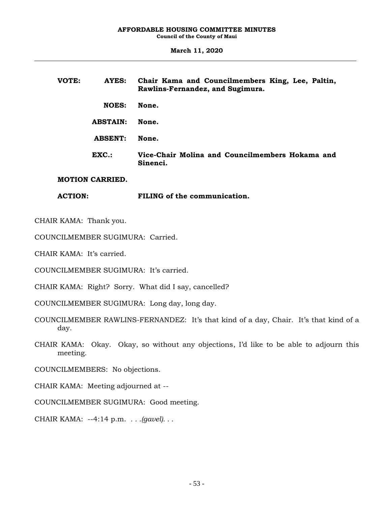**March 11, 2020**

| VOTE:          | AYES:           | Chair Kama and Councilmembers King, Lee, Paltin,<br>Rawlins-Fernandez, and Sugimura. |
|----------------|-----------------|--------------------------------------------------------------------------------------|
|                | <b>NOES:</b>    | None.                                                                                |
|                | <b>ABSTAIN:</b> | None.                                                                                |
|                | <b>ABSENT:</b>  | None.                                                                                |
|                | EXC.            | Vice-Chair Molina and Councilmembers Hokama and<br>Sinenci.                          |
| MARIAN ALBRIBR |                 |                                                                                      |

### **MOTION CARRIED.**

**ACTION: FILING of the communication.**

CHAIR KAMA: Thank you.

COUNCILMEMBER SUGIMURA: Carried.

CHAIR KAMA: It's carried.

COUNCILMEMBER SUGIMURA: It's carried.

CHAIR KAMA: Right? Sorry. What did I say, cancelled?

COUNCILMEMBER SUGIMURA: Long day, long day.

COUNCILMEMBER RAWLINS-FERNANDEZ: It's that kind of a day, Chair. It's that kind of a day.

CHAIR KAMA: Okay. Okay, so without any objections, I'd like to be able to adjourn this meeting.

COUNCILMEMBERS: No objections.

CHAIR KAMA: Meeting adjourned at --

COUNCILMEMBER SUGIMURA: Good meeting.

CHAIR KAMA: --4:14 p.m. *. . .(gavel). . .*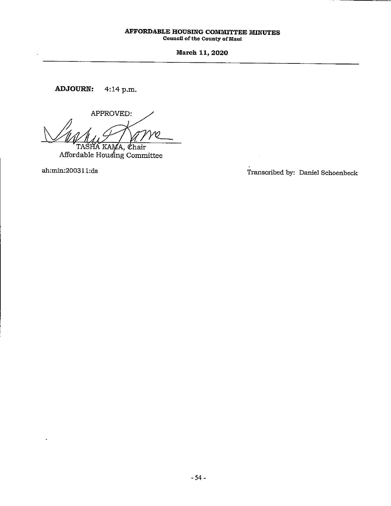March 11, 2020

**ADJOURN:** 4:14 p.m.

APPROVED: TASHA KAMA, Chair

Affordable Housing Committee

ah:min:200311:ds

Transcribed by: Daniel Schoenbeck

 $\bar{\alpha}$ 

- 7